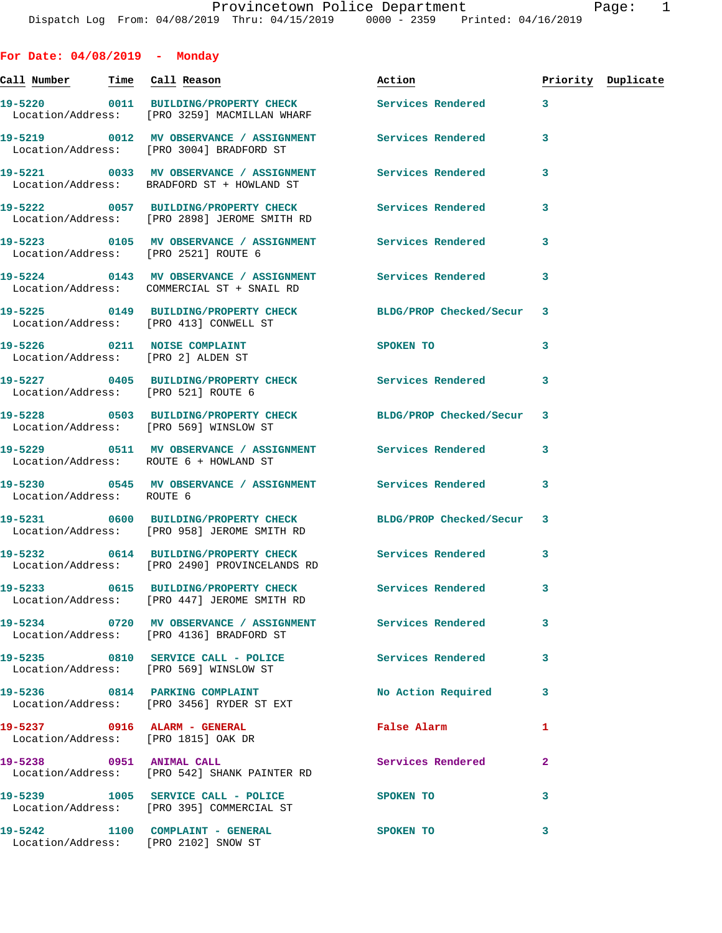**For Date: 04/08/2019 - Monday** Call Number Time Call Reason **Reason Action Action** Priority Duplicate **19-5220 0011 BUILDING/PROPERTY CHECK Services Rendered 3**  Location/Address: [PRO 3259] MACMILLAN WHARF **19-5219 0012 MV OBSERVANCE / ASSIGNMENT Services Rendered 3**  Location/Address: [PRO 3004] BRADFORD ST **19-5221 0033 MV OBSERVANCE / ASSIGNMENT Services Rendered 3**  Location/Address: BRADFORD ST + HOWLAND ST **19-5222 0057 BUILDING/PROPERTY CHECK Services Rendered 3**  Location/Address: [PRO 2898] JEROME SMITH RD **19-5223 0105 MV OBSERVANCE / ASSIGNMENT Services Rendered 3**  Location/Address: [PRO 2521] ROUTE 6 **19-5224 0143 MV OBSERVANCE / ASSIGNMENT Services Rendered 3**  Location/Address: COMMERCIAL ST + SNAIL RD **19-5225 0149 BUILDING/PROPERTY CHECK BLDG/PROP Checked/Secur 3**  Location/Address: [PRO 413] CONWELL ST **19-5226** 0211 NOISE COMPLAINT SPOKEN TO 3 Location/Address: [PRO 2] ALDEN ST **19-5227 0405 BUILDING/PROPERTY CHECK Services Rendered 3**  Location/Address: [PRO 521] ROUTE 6 **19-5228 0503 BUILDING/PROPERTY CHECK BLDG/PROP Checked/Secur 3**  Location/Address: [PRO 569] WINSLOW ST **19-5229 0511 MV OBSERVANCE / ASSIGNMENT Services Rendered 3**  Location/Address: ROUTE 6 + HOWLAND ST **19-5230 0545 MV OBSERVANCE / ASSIGNMENT Services Rendered 3**  Location/Address: ROUTE 6 **19-5231 0600 BUILDING/PROPERTY CHECK BLDG/PROP Checked/Secur 3**  Location/Address: [PRO 958] JEROME SMITH RD **19-5232 0614 BUILDING/PROPERTY CHECK Services Rendered 3**  Location/Address: [PRO 2490] PROVINCELANDS RD **19-5233 0615 BUILDING/PROPERTY CHECK Services Rendered 3**  Location/Address: [PRO 447] JEROME SMITH RD **19-5234 0720 MV OBSERVANCE / ASSIGNMENT Services Rendered 3**  Location/Address: [PRO 4136] BRADFORD ST **19-5235 0810 SERVICE CALL - POLICE Services Rendered 3**  Location/Address: [PRO 569] WINSLOW ST **19-5236 0814 PARKING COMPLAINT No Action Required 3**  Location/Address: [PRO 3456] RYDER ST EXT **19-5237 0916 ALARM - GENERAL False Alarm 1**  Location/Address: [PRO 1815] OAK DR **19-5238 0951 ANIMAL CALL Services Rendered 2**  Location/Address: [PRO 542] SHANK PAINTER RD

**19-5239 1005 SERVICE CALL - POLICE SPOKEN TO 3** 

**19-5242 1100 COMPLAINT - GENERAL SPOKEN TO 3**  Location/Address: [PRO 2102] SNOW ST

Location/Address: [PRO 395] COMMERCIAL ST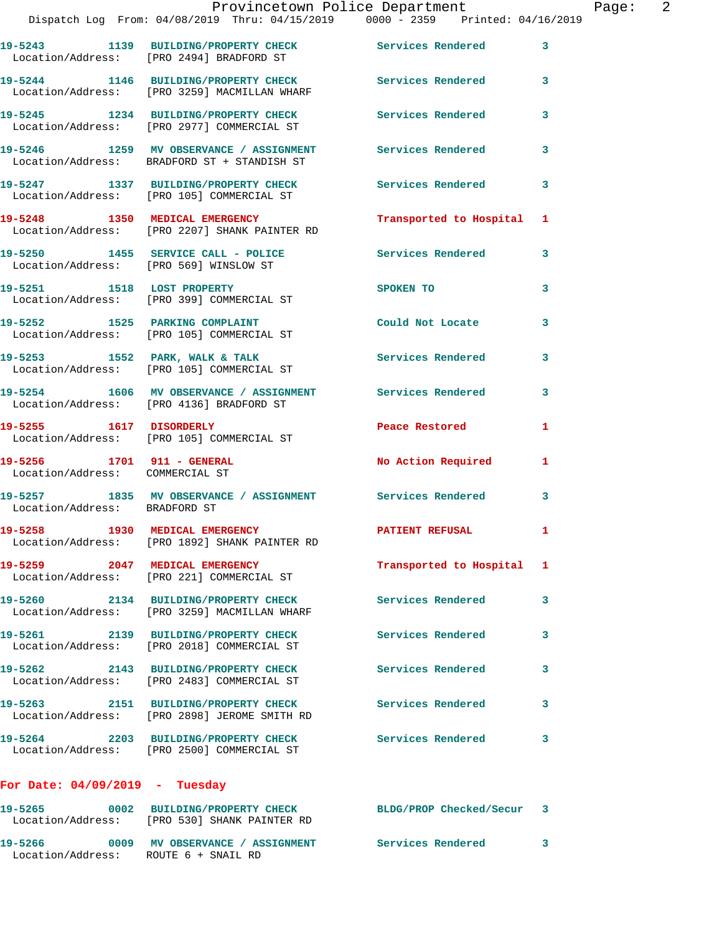| 19-5243 1139 BUILDING/PROPERTY CHECK<br><b>Services Rendered</b><br>Location/Address: [PRO 2494] BRADFORD ST<br>19-5244 1146 BUILDING/PROPERTY CHECK<br>Services Rendered<br>Location/Address: [PRO 3259] MACMILLAN WHARF<br>19-5245 1234 BUILDING/PROPERTY CHECK<br><b>Services Rendered</b><br>Location/Address: [PRO 2977] COMMERCIAL ST<br>19-5246 1259 MV OBSERVANCE / ASSIGNMENT<br>Services Rendered<br>Location/Address: BRADFORD ST + STANDISH ST<br>19-5247 1337 BUILDING/PROPERTY CHECK<br>Location/Address: [PRO 105] COMMERCIAL ST<br>Services Rendered<br>19-5248 1350 MEDICAL EMERGENCY<br>Transported to Hospital 1<br>Location/Address: [PRO 2207] SHANK PAINTER RD<br>19-5250 1455 SERVICE CALL - POLICE<br>Services Rendered<br>Location/Address: [PRO 569] WINSLOW ST<br>19-5251 1518 LOST PROPERTY<br>SPOKEN TO<br>Location/Address: [PRO 399] COMMERCIAL ST<br>19-5252 1525 PARKING COMPLAINT<br>Could Not Locate<br>Location/Address: [PRO 105] COMMERCIAL ST<br>19-5253 1552 PARK, WALK & TALK<br>Services Rendered<br>Location/Address: [PRO 105] COMMERCIAL ST<br>19-5254 1606 MV OBSERVANCE / ASSIGNMENT Services Rendered<br>Location/Address: [PRO 4136] BRADFORD ST<br>19-5255 1617 DISORDERLY<br>Peace Restored<br>Location/Address: [PRO 105] COMMERCIAL ST<br>19-5256 1701 911 - GENERAL<br>No Action Required<br>Location/Address: COMMERCIAL ST<br>19-5257 1835 MV OBSERVANCE / ASSIGNMENT Services Rendered<br>Location/Address: BRADFORD ST<br>19-5258 1930 MEDICAL EMERGENCY<br><b>PATIENT REFUSAL</b><br>Location/Address: [PRO 1892] SHANK PAINTER RD<br>19-5259 2047 MEDICAL EMERGENCY<br>Transported to Hospital 1<br>Location/Address: [PRO 221] COMMERCIAL ST<br>2134 BUILDING/PROPERTY CHECK<br><b>Services Rendered</b><br>19-5260<br>Location/Address: [PRO 3259] MACMILLAN WHARF<br>19-5261 2139 BUILDING/PROPERTY CHECK<br><b>Services Rendered</b><br>Location/Address: [PRO 2018] COMMERCIAL ST<br>19-5262 2143 BUILDING/PROPERTY CHECK<br><b>Services Rendered</b><br>Location/Address: [PRO 2483] COMMERCIAL ST<br>19-5263 2151 BUILDING/PROPERTY CHECK<br><b>Services Rendered</b><br>Location/Address: [PRO 2898] JEROME SMITH RD<br>19-5264 2203 BUILDING/PROPERTY CHECK<br>Services Rendered<br>Location/Address: [PRO 2500] COMMERCIAL ST<br>For Date: $04/09/2019$ - Tuesday<br>BLDG/PROP Checked/Secur 3 |                                         | $\mathbf{3}$ |
|----------------------------------------------------------------------------------------------------------------------------------------------------------------------------------------------------------------------------------------------------------------------------------------------------------------------------------------------------------------------------------------------------------------------------------------------------------------------------------------------------------------------------------------------------------------------------------------------------------------------------------------------------------------------------------------------------------------------------------------------------------------------------------------------------------------------------------------------------------------------------------------------------------------------------------------------------------------------------------------------------------------------------------------------------------------------------------------------------------------------------------------------------------------------------------------------------------------------------------------------------------------------------------------------------------------------------------------------------------------------------------------------------------------------------------------------------------------------------------------------------------------------------------------------------------------------------------------------------------------------------------------------------------------------------------------------------------------------------------------------------------------------------------------------------------------------------------------------------------------------------------------------------------------------------------------------------------------------------------------------------------------------------------------------------------------------------------------------------------------------------------------------------------------------------------------------------------------------------------------------------------------------------------------------------------------------------------------------------------------------|-----------------------------------------|--------------|
|                                                                                                                                                                                                                                                                                                                                                                                                                                                                                                                                                                                                                                                                                                                                                                                                                                                                                                                                                                                                                                                                                                                                                                                                                                                                                                                                                                                                                                                                                                                                                                                                                                                                                                                                                                                                                                                                                                                                                                                                                                                                                                                                                                                                                                                                                                                                                                      |                                         |              |
|                                                                                                                                                                                                                                                                                                                                                                                                                                                                                                                                                                                                                                                                                                                                                                                                                                                                                                                                                                                                                                                                                                                                                                                                                                                                                                                                                                                                                                                                                                                                                                                                                                                                                                                                                                                                                                                                                                                                                                                                                                                                                                                                                                                                                                                                                                                                                                      |                                         | 3            |
|                                                                                                                                                                                                                                                                                                                                                                                                                                                                                                                                                                                                                                                                                                                                                                                                                                                                                                                                                                                                                                                                                                                                                                                                                                                                                                                                                                                                                                                                                                                                                                                                                                                                                                                                                                                                                                                                                                                                                                                                                                                                                                                                                                                                                                                                                                                                                                      |                                         | 3            |
|                                                                                                                                                                                                                                                                                                                                                                                                                                                                                                                                                                                                                                                                                                                                                                                                                                                                                                                                                                                                                                                                                                                                                                                                                                                                                                                                                                                                                                                                                                                                                                                                                                                                                                                                                                                                                                                                                                                                                                                                                                                                                                                                                                                                                                                                                                                                                                      |                                         | 3            |
|                                                                                                                                                                                                                                                                                                                                                                                                                                                                                                                                                                                                                                                                                                                                                                                                                                                                                                                                                                                                                                                                                                                                                                                                                                                                                                                                                                                                                                                                                                                                                                                                                                                                                                                                                                                                                                                                                                                                                                                                                                                                                                                                                                                                                                                                                                                                                                      |                                         | 3            |
|                                                                                                                                                                                                                                                                                                                                                                                                                                                                                                                                                                                                                                                                                                                                                                                                                                                                                                                                                                                                                                                                                                                                                                                                                                                                                                                                                                                                                                                                                                                                                                                                                                                                                                                                                                                                                                                                                                                                                                                                                                                                                                                                                                                                                                                                                                                                                                      |                                         |              |
|                                                                                                                                                                                                                                                                                                                                                                                                                                                                                                                                                                                                                                                                                                                                                                                                                                                                                                                                                                                                                                                                                                                                                                                                                                                                                                                                                                                                                                                                                                                                                                                                                                                                                                                                                                                                                                                                                                                                                                                                                                                                                                                                                                                                                                                                                                                                                                      |                                         | 3            |
|                                                                                                                                                                                                                                                                                                                                                                                                                                                                                                                                                                                                                                                                                                                                                                                                                                                                                                                                                                                                                                                                                                                                                                                                                                                                                                                                                                                                                                                                                                                                                                                                                                                                                                                                                                                                                                                                                                                                                                                                                                                                                                                                                                                                                                                                                                                                                                      |                                         | 3            |
|                                                                                                                                                                                                                                                                                                                                                                                                                                                                                                                                                                                                                                                                                                                                                                                                                                                                                                                                                                                                                                                                                                                                                                                                                                                                                                                                                                                                                                                                                                                                                                                                                                                                                                                                                                                                                                                                                                                                                                                                                                                                                                                                                                                                                                                                                                                                                                      |                                         | 3            |
|                                                                                                                                                                                                                                                                                                                                                                                                                                                                                                                                                                                                                                                                                                                                                                                                                                                                                                                                                                                                                                                                                                                                                                                                                                                                                                                                                                                                                                                                                                                                                                                                                                                                                                                                                                                                                                                                                                                                                                                                                                                                                                                                                                                                                                                                                                                                                                      |                                         | 3            |
|                                                                                                                                                                                                                                                                                                                                                                                                                                                                                                                                                                                                                                                                                                                                                                                                                                                                                                                                                                                                                                                                                                                                                                                                                                                                                                                                                                                                                                                                                                                                                                                                                                                                                                                                                                                                                                                                                                                                                                                                                                                                                                                                                                                                                                                                                                                                                                      |                                         | 3            |
|                                                                                                                                                                                                                                                                                                                                                                                                                                                                                                                                                                                                                                                                                                                                                                                                                                                                                                                                                                                                                                                                                                                                                                                                                                                                                                                                                                                                                                                                                                                                                                                                                                                                                                                                                                                                                                                                                                                                                                                                                                                                                                                                                                                                                                                                                                                                                                      |                                         | 1            |
|                                                                                                                                                                                                                                                                                                                                                                                                                                                                                                                                                                                                                                                                                                                                                                                                                                                                                                                                                                                                                                                                                                                                                                                                                                                                                                                                                                                                                                                                                                                                                                                                                                                                                                                                                                                                                                                                                                                                                                                                                                                                                                                                                                                                                                                                                                                                                                      |                                         | 1.           |
|                                                                                                                                                                                                                                                                                                                                                                                                                                                                                                                                                                                                                                                                                                                                                                                                                                                                                                                                                                                                                                                                                                                                                                                                                                                                                                                                                                                                                                                                                                                                                                                                                                                                                                                                                                                                                                                                                                                                                                                                                                                                                                                                                                                                                                                                                                                                                                      |                                         | 3            |
|                                                                                                                                                                                                                                                                                                                                                                                                                                                                                                                                                                                                                                                                                                                                                                                                                                                                                                                                                                                                                                                                                                                                                                                                                                                                                                                                                                                                                                                                                                                                                                                                                                                                                                                                                                                                                                                                                                                                                                                                                                                                                                                                                                                                                                                                                                                                                                      |                                         | 1            |
|                                                                                                                                                                                                                                                                                                                                                                                                                                                                                                                                                                                                                                                                                                                                                                                                                                                                                                                                                                                                                                                                                                                                                                                                                                                                                                                                                                                                                                                                                                                                                                                                                                                                                                                                                                                                                                                                                                                                                                                                                                                                                                                                                                                                                                                                                                                                                                      |                                         |              |
|                                                                                                                                                                                                                                                                                                                                                                                                                                                                                                                                                                                                                                                                                                                                                                                                                                                                                                                                                                                                                                                                                                                                                                                                                                                                                                                                                                                                                                                                                                                                                                                                                                                                                                                                                                                                                                                                                                                                                                                                                                                                                                                                                                                                                                                                                                                                                                      |                                         | 3            |
|                                                                                                                                                                                                                                                                                                                                                                                                                                                                                                                                                                                                                                                                                                                                                                                                                                                                                                                                                                                                                                                                                                                                                                                                                                                                                                                                                                                                                                                                                                                                                                                                                                                                                                                                                                                                                                                                                                                                                                                                                                                                                                                                                                                                                                                                                                                                                                      |                                         | 3            |
|                                                                                                                                                                                                                                                                                                                                                                                                                                                                                                                                                                                                                                                                                                                                                                                                                                                                                                                                                                                                                                                                                                                                                                                                                                                                                                                                                                                                                                                                                                                                                                                                                                                                                                                                                                                                                                                                                                                                                                                                                                                                                                                                                                                                                                                                                                                                                                      |                                         | 3            |
|                                                                                                                                                                                                                                                                                                                                                                                                                                                                                                                                                                                                                                                                                                                                                                                                                                                                                                                                                                                                                                                                                                                                                                                                                                                                                                                                                                                                                                                                                                                                                                                                                                                                                                                                                                                                                                                                                                                                                                                                                                                                                                                                                                                                                                                                                                                                                                      |                                         | 3            |
|                                                                                                                                                                                                                                                                                                                                                                                                                                                                                                                                                                                                                                                                                                                                                                                                                                                                                                                                                                                                                                                                                                                                                                                                                                                                                                                                                                                                                                                                                                                                                                                                                                                                                                                                                                                                                                                                                                                                                                                                                                                                                                                                                                                                                                                                                                                                                                      |                                         | 3            |
|                                                                                                                                                                                                                                                                                                                                                                                                                                                                                                                                                                                                                                                                                                                                                                                                                                                                                                                                                                                                                                                                                                                                                                                                                                                                                                                                                                                                                                                                                                                                                                                                                                                                                                                                                                                                                                                                                                                                                                                                                                                                                                                                                                                                                                                                                                                                                                      |                                         |              |
| Location/Address: [PRO 530] SHANK PAINTER RD                                                                                                                                                                                                                                                                                                                                                                                                                                                                                                                                                                                                                                                                                                                                                                                                                                                                                                                                                                                                                                                                                                                                                                                                                                                                                                                                                                                                                                                                                                                                                                                                                                                                                                                                                                                                                                                                                                                                                                                                                                                                                                                                                                                                                                                                                                                         | 0002 BUILDING/PROPERTY CHECK<br>19-5265 |              |

**19-5266 0009 MV OBSERVANCE / ASSIGNMENT Services Rendered 3** 

Location/Address: ROUTE 6 + SNAIL RD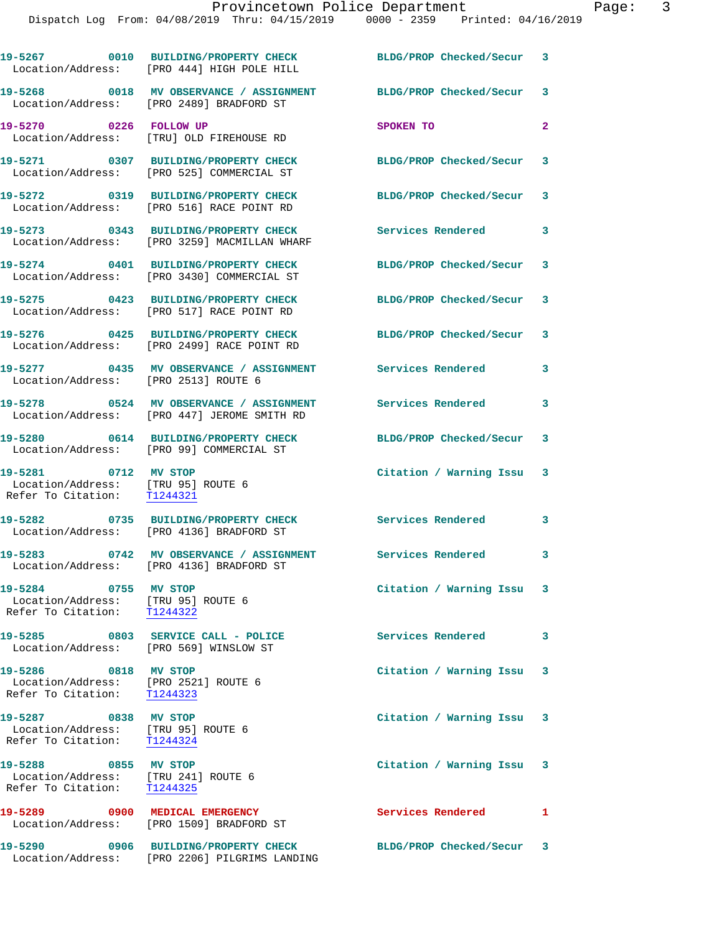|                                                                                             | 19-5267 0010 BUILDING/PROPERTY CHECK<br>Location/Address: [PRO 444] HIGH POLE HILL              | BLDG/PROP Checked/Secur 3 |              |
|---------------------------------------------------------------------------------------------|-------------------------------------------------------------------------------------------------|---------------------------|--------------|
|                                                                                             | 19-5268 0018 MV OBSERVANCE / ASSIGNMENT<br>Location/Address: [PRO 2489] BRADFORD ST             | BLDG/PROP Checked/Secur 3 |              |
| 19-5270 0226 FOLLOW UP                                                                      | Location/Address: [TRU] OLD FIREHOUSE RD                                                        | SPOKEN TO                 | $\mathbf{2}$ |
|                                                                                             | 19-5271 0307 BUILDING/PROPERTY CHECK<br>Location/Address: [PRO 525] COMMERCIAL ST               | BLDG/PROP Checked/Secur 3 |              |
|                                                                                             | 19-5272 0319 BUILDING/PROPERTY CHECK<br>Location/Address: [PRO 516] RACE POINT RD               | BLDG/PROP Checked/Secur   | 3            |
|                                                                                             | 19-5273 0343 BUILDING/PROPERTY CHECK<br>Location/Address: [PRO 3259] MACMILLAN WHARF            | Services Rendered 3       |              |
|                                                                                             | 19-5274 0401 BUILDING/PROPERTY CHECK<br>Location/Address: [PRO 3430] COMMERCIAL ST              | BLDG/PROP Checked/Secur 3 |              |
|                                                                                             | 19-5275 0423 BUILDING/PROPERTY CHECK<br>Location/Address: [PRO 517] RACE POINT RD               | BLDG/PROP Checked/Secur 3 |              |
|                                                                                             | 19-5276 0425 BUILDING/PROPERTY CHECK<br>Location/Address: [PRO 2499] RACE POINT RD              | BLDG/PROP Checked/Secur 3 |              |
| Location/Address: [PRO 2513] ROUTE 6                                                        | 19-5277 0435 MV OBSERVANCE / ASSIGNMENT                                                         | Services Rendered         | 3            |
|                                                                                             | 19-5278 0524 MV OBSERVANCE / ASSIGNMENT<br>Location/Address: [PRO 447] JEROME SMITH RD          | <b>Services Rendered</b>  | 3            |
|                                                                                             | 19-5280 0614 BUILDING/PROPERTY CHECK<br>Location/Address: [PRO 99] COMMERCIAL ST                | BLDG/PROP Checked/Secur   | 3            |
| 19-5281 0712 MV STOP<br>Location/Address: [TRU 95] ROUTE 6<br>Refer To Citation:            | T1244321                                                                                        | Citation / Warning Issu 3 |              |
|                                                                                             | 19-5282 0735 BUILDING/PROPERTY CHECK<br>Location/Address: [PRO 4136] BRADFORD ST                | Services Rendered         | 3            |
| 19-5283                                                                                     | 0742 MV OBSERVANCE / ASSIGNMENT Services Rendered 3<br>Location/Address: [PRO 4136] BRADFORD ST |                           |              |
| 19-5284 0755 MV STOP<br>Location/Address: [TRU 95] ROUTE 6<br>Refer To Citation: T1244322   |                                                                                                 | Citation / Warning Issu 3 |              |
| Location/Address: [PRO 569] WINSLOW ST                                                      |                                                                                                 | Services Rendered         | 3            |
| 19-5286 0818 MV STOP<br>Location/Address: [PRO 2521] ROUTE 6<br>Refer To Citation: T1244323 |                                                                                                 | Citation / Warning Issu 3 |              |
| 19-5287 0838 MV STOP<br>Location/Address: [TRU 95] ROUTE 6<br>Refer To Citation: T1244324   |                                                                                                 | Citation / Warning Issu 3 |              |
| 19-5288 0855 MV STOP<br>Location/Address: [TRU 241] ROUTE 6<br>Refer To Citation: T1244325  |                                                                                                 | Citation / Warning Issu 3 |              |
|                                                                                             | 19-5289 0900 MEDICAL EMERGENCY<br>Location/Address: [PRO 1509] BRADFORD ST                      | Services Rendered         | 1            |
| 19-5290                                                                                     | 0906 BUILDING/PROPERTY CHECK<br>Location/Address: [PRO 2206] PILGRIMS LANDING                   | BLDG/PROP Checked/Secur 3 |              |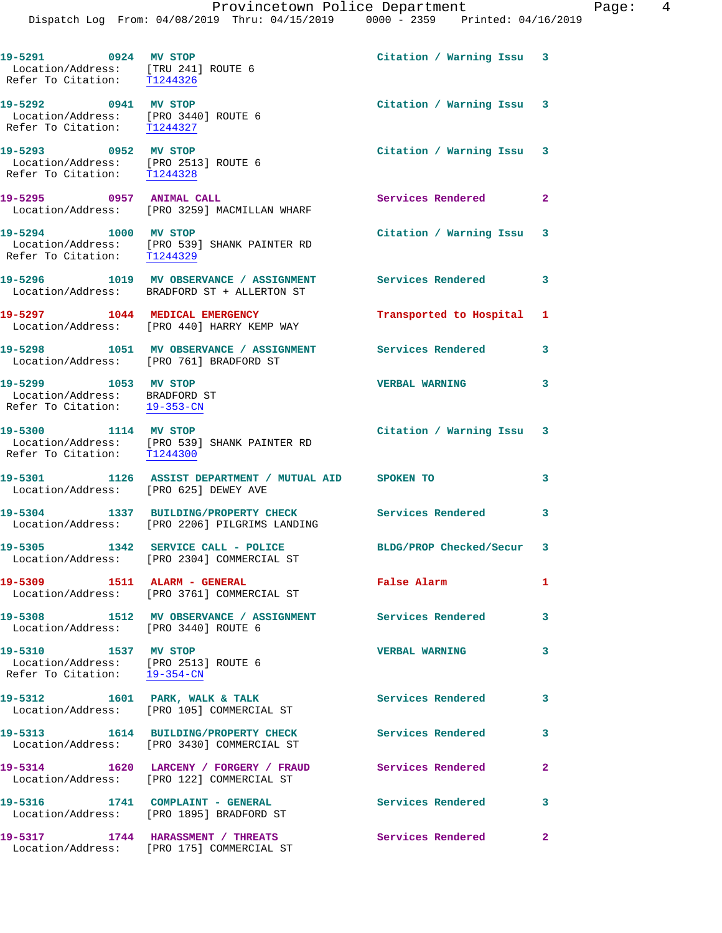**19-5291 0924 MV STOP Citation / Warning Issu 3**  Location/Address: [TRU 241] ROUTE 6 Refer To Citation: T1244326 **19-5292 0941 MV STOP Citation / Warning Issu 3**  Location/Address: [PRO 3440] ROUTE 6 Refer To Citation: T1244327 **19-5293 0952 MV STOP Citation / Warning Issu 3**  Location/Address: [PRO 2513] ROUTE 6 Refer To Citation: T1244328 **19-5295 0957 ANIMAL CALL Services Rendered 2**  Location/Address: [PRO 3259] MACMILLAN WHARF **19-5294 1000 MV STOP Citation / Warning Issu 3**  Location/Address: [PRO 539] SHANK PAINTER RD Refer To Citation: T1244329 **19-5296 1019 MV OBSERVANCE / ASSIGNMENT Services Rendered 3**  Location/Address: BRADFORD ST + ALLERTON ST **19-5297 1044 MEDICAL EMERGENCY Transported to Hospital 1**  Location/Address: [PRO 440] HARRY KEMP WAY **19-5298 1051 MV OBSERVANCE / ASSIGNMENT Services Rendered 3**  Location/Address: [PRO 761] BRADFORD ST **19-5299 1053 MV STOP VERBAL WARNING 3**  Location/Address: BRADFORD ST Refer To Citation: 19-353-CN **19-5300 1114 MV STOP Citation / Warning Issu 3**  Location/Address: [PRO 539] SHANK PAINTER RD Refer To Citation: T1244300 **19-5301 1126 ASSIST DEPARTMENT / MUTUAL AID SPOKEN TO 3**  Location/Address: [PRO 625] DEWEY AVE **19-5304 1337 BUILDING/PROPERTY CHECK Services Rendered 3**  Location/Address: [PRO 2206] PILGRIMS LANDING **19-5305 1342 SERVICE CALL - POLICE BLDG/PROP Checked/Secur 3**  Location/Address: [PRO 2304] COMMERCIAL ST **19-5309 1511 ALARM - GENERAL False Alarm 1**  Location/Address: [PRO 3761] COMMERCIAL ST **19-5308 1512 MV OBSERVANCE / ASSIGNMENT Services Rendered 3**  Location/Address: [PRO 3440] ROUTE 6 **19-5310 1537 MV STOP VERBAL WARNING 3**  Location/Address: [PRO 2513] ROUTE 6 Refer To Citation: 19-354-CN 19-5312 1601 PARK, WALK & TALK **Services Rendered** 3 Location/Address: [PRO 105] COMMERCIAL ST **19-5313 1614 BUILDING/PROPERTY CHECK Services Rendered 3**  Location/Address: [PRO 3430] COMMERCIAL ST **19-5314 1620 LARCENY / FORGERY / FRAUD Services Rendered 2**  Location/Address: [PRO 122] COMMERCIAL ST 19-5316 1741 COMPLAINT - GENERAL **Services Rendered** 3 Location/Address: [PRO 1895] BRADFORD ST **19-5317 1744 HARASSMENT / THREATS Services Rendered 2**  Location/Address: [PRO 175] COMMERCIAL ST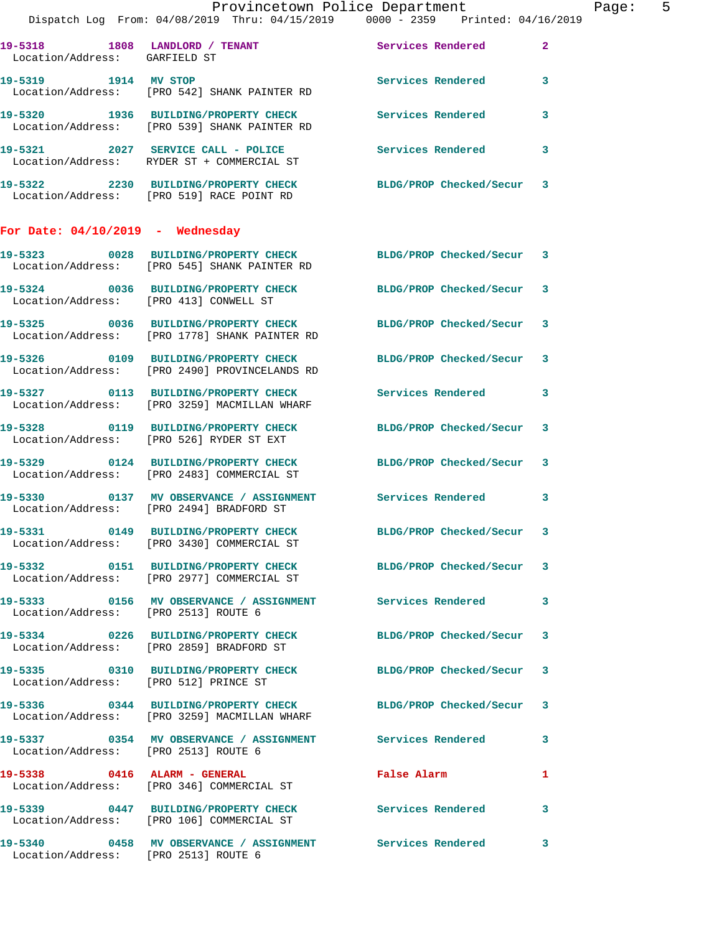|                                       | Provincetown Police Department<br>Dispatch Log From: 04/08/2019 Thru: 04/15/2019 0000 - 2359 Printed: 04/16/2019 |                                             |              | Page: 5 |  |
|---------------------------------------|------------------------------------------------------------------------------------------------------------------|---------------------------------------------|--------------|---------|--|
| Location/Address: GARFIELD ST         | 19-5318 1808 LANDLORD / TENANT Services Rendered                                                                 |                                             | $\mathbf{2}$ |         |  |
|                                       | 19-5319 1914 MV STOP 1908 2012 Services Rendered 3<br>Location/Address: [PRO 542] SHANK PAINTER RD               |                                             |              |         |  |
|                                       | 19-5320 1936 BUILDING/PROPERTY CHECK Services Rendered<br>Location/Address: [PRO 539] SHANK PAINTER RD           |                                             | $\mathbf{3}$ |         |  |
|                                       | 19-5321 2027 SERVICE CALL - POLICE Services Rendered<br>Location/Address: RYDER ST + COMMERCIAL ST               |                                             | $\mathbf{3}$ |         |  |
|                                       | 19-5322 2230 BUILDING/PROPERTY CHECK BLDG/PROP Checked/Secur 3<br>Location/Address: [PRO 519] RACE POINT RD      |                                             |              |         |  |
| For Date: $04/10/2019$ - Wednesday    |                                                                                                                  |                                             |              |         |  |
|                                       | 19-5323 0028 BUILDING/PROPERTY CHECK BLDG/PROP Checked/Secur 3<br>Location/Address: [PRO 545] SHANK PAINTER RD   |                                             |              |         |  |
|                                       | 19-5324 0036 BUILDING/PROPERTY CHECK BLDG/PROP Checked/Secur 3<br>Location/Address: [PRO 413] CONWELL ST         |                                             |              |         |  |
|                                       | 19-5325 0036 BUILDING/PROPERTY CHECK BLDG/PROP Checked/Secur 3<br>Location/Address: [PRO 1778] SHANK PAINTER RD  |                                             |              |         |  |
|                                       | 19-5326 0109 BUILDING/PROPERTY CHECK BLDG/PROP Checked/Secur 3<br>Location/Address: [PRO 2490] PROVINCELANDS RD  |                                             |              |         |  |
|                                       | 19-5327 0113 BUILDING/PROPERTY CHECK Services Rendered 3<br>Location/Address: [PRO 3259] MACMILLAN WHARF         |                                             |              |         |  |
|                                       | 19-5328 0119 BUILDING/PROPERTY CHECK BLDG/PROP Checked/Secur 3<br>Location/Address: [PRO 526] RYDER ST EXT       |                                             |              |         |  |
|                                       | 19-5329 0124 BUILDING/PROPERTY CHECK BLDG/PROP Checked/Secur 3<br>Location/Address: [PRO 2483] COMMERCIAL ST     |                                             |              |         |  |
|                                       | 19-5330 0137 MV OBSERVANCE / ASSIGNMENT Services Rendered 3<br>Location/Address: [PRO 2494] BRADFORD ST          |                                             |              |         |  |
|                                       | 19-5331 0149 BUILDING/PROPERTY CHECK BLDG/PROP Checked/Secur 3<br>Location/Address: [PRO 3430] COMMERCIAL ST     |                                             |              |         |  |
|                                       | 19-5332 0151 BUILDING/PROPERTY CHECK BLDG/PROP Checked/Secur 3<br>Location/Address: [PRO 2977] COMMERCIAL ST     |                                             |              |         |  |
| Location/Address: [PRO 2513] ROUTE 6  | 19-5333 6156 MV OBSERVANCE / ASSIGNMENT Services Rendered 3                                                      |                                             |              |         |  |
|                                       | 19-5334 0226 BUILDING/PROPERTY CHECK BLDG/PROP Checked/Secur 3<br>Location/Address: [PRO 2859] BRADFORD ST       |                                             |              |         |  |
| Location/Address: [PRO 512] PRINCE ST | 19-5335 0310 BUILDING/PROPERTY CHECK BLDG/PROP Checked/Secur 3                                                   |                                             |              |         |  |
|                                       | 19-5336 0344 BUILDING/PROPERTY CHECK BLDG/PROP Checked/Secur 3<br>Location/Address: [PRO 3259] MACMILLAN WHARF   |                                             |              |         |  |
| Location/Address: [PRO 2513] ROUTE 6  | 19-5337 0354 MV OBSERVANCE / ASSIGNMENT Services Rendered 3                                                      |                                             |              |         |  |
|                                       | 19-5338 0416 ALARM - GENERAL<br>Location/Address: [PRO 346] COMMERCIAL ST                                        | False Alarm <b>Exercise Service Service</b> | 1            |         |  |
|                                       | 19-5339 0447 BUILDING/PROPERTY CHECK Services Rendered 3<br>Location/Address: [PRO 106] COMMERCIAL ST            |                                             |              |         |  |
|                                       | 19-5340 0458 MV OBSERVANCE / ASSIGNMENT Services Rendered 3<br>Location/Address: [PRO 2513] ROUTE 6              |                                             |              |         |  |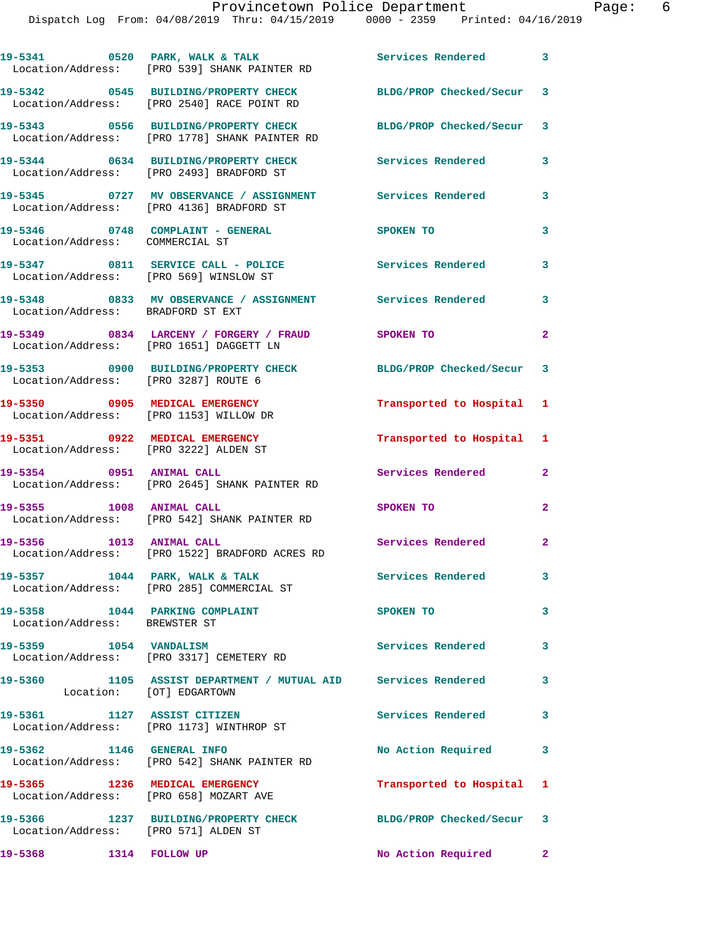|                                                                          | 19-5341 0520 PARK, WALK & TALK<br>Location/Address: [PRO 539] SHANK PAINTER RD                                  | Services Rendered 3       |                |
|--------------------------------------------------------------------------|-----------------------------------------------------------------------------------------------------------------|---------------------------|----------------|
|                                                                          | 19-5342 0545 BUILDING/PROPERTY CHECK<br>Location/Address: [PRO 2540] RACE POINT RD                              | BLDG/PROP Checked/Secur 3 |                |
|                                                                          | 19-5343 0556 BUILDING/PROPERTY CHECK BLDG/PROP Checked/Secur 3<br>Location/Address: [PRO 1778] SHANK PAINTER RD |                           |                |
|                                                                          | 19-5344 0634 BUILDING/PROPERTY CHECK Services Rendered<br>Location/Address: [PRO 2493] BRADFORD ST              |                           | 3              |
|                                                                          | 19-5345 0727 MV OBSERVANCE / ASSIGNMENT Services Rendered<br>Location/Address: [PRO 4136] BRADFORD ST           |                           | 3              |
| Location/Address: COMMERCIAL ST                                          | $19-5346$ 0748 COMPLAINT - GENERAL                                                                              | SPOKEN TO                 | 3              |
|                                                                          | 19-5347 0811 SERVICE CALL - POLICE<br>Location/Address: [PRO 569] WINSLOW ST                                    | <b>Services Rendered</b>  | 3              |
| Location/Address: BRADFORD ST EXT                                        | 19-5348 6833 MV OBSERVANCE / ASSIGNMENT Services Rendered                                                       |                           | 3              |
|                                                                          | 19-5349 0834 LARCENY / FORGERY / FRAUD<br>Location/Address: [PRO 1651] DAGGETT LN                               | <b>SPOKEN TO</b>          | $\mathbf{2}$   |
| Location/Address: [PRO 3287] ROUTE 6                                     | 19-5353 0900 BUILDING/PROPERTY CHECK                                                                            | BLDG/PROP Checked/Secur 3 |                |
| 19-5350 0905 MEDICAL EMERGENCY<br>Location/Address: [PRO 1153] WILLOW DR |                                                                                                                 | Transported to Hospital 1 |                |
| 19-5351 0922 MEDICAL EMERGENCY<br>Location/Address: [PRO 3222] ALDEN ST  |                                                                                                                 | Transported to Hospital 1 |                |
| 19-5354 0951 ANIMAL CALL                                                 | Location/Address: [PRO 2645] SHANK PAINTER RD                                                                   | Services Rendered         | $\mathbf{2}$   |
| 19-5355 1008 ANIMAL CALL                                                 | Location/Address: [PRO 542] SHANK PAINTER RD                                                                    | <b>SPOKEN TO</b>          | $\overline{2}$ |
| 19-5356 1013 ANIMAL CALL                                                 | Location/Address: [PRO 1522] BRADFORD ACRES RD                                                                  | Services Rendered 2       |                |
|                                                                          | 19-5357 1044 PARK, WALK & TALK<br>Location/Address: [PRO 285] COMMERCIAL ST                                     | Services Rendered         | 3              |
| Location/Address: BREWSTER ST                                            | 19-5358 1044 PARKING COMPLAINT                                                                                  | SPOKEN TO                 | $\mathbf{3}$   |
| 19-5359 1054 VANDALISM                                                   | Location/Address: [PRO 3317] CEMETERY RD                                                                        | Services Rendered         | 3              |
|                                                                          | 19-5360 1105 ASSIST DEPARTMENT / MUTUAL AID Services Rendered<br>Location: [OT] EDGARTOWN                       |                           | 3              |
| 19-5361 1127 ASSIST CITIZEN                                              | Location/Address: [PRO 1173] WINTHROP ST                                                                        | <b>Services Rendered</b>  | $\mathbf{3}$   |
| 19-5362 1146 GENERAL INFO                                                | Location/Address: [PRO 542] SHANK PAINTER RD                                                                    | No Action Required        | 3              |
| 19-5365 1236 MEDICAL EMERGENCY                                           | Location/Address: [PRO 658] MOZART AVE                                                                          | Transported to Hospital 1 |                |
| Location/Address: [PRO 571] ALDEN ST                                     | 19-5366 1237 BUILDING/PROPERTY CHECK BLDG/PROP Checked/Secur 3                                                  |                           |                |
| 19-5368 1314 FOLLOW UP                                                   |                                                                                                                 | No Action Required 2      |                |
|                                                                          |                                                                                                                 |                           |                |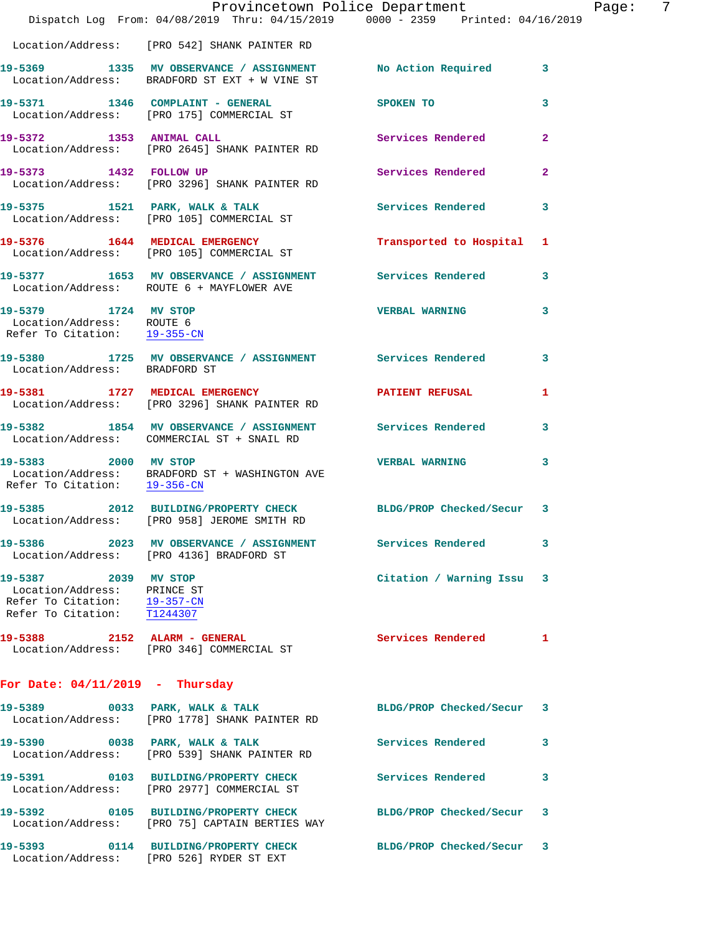|                                                                                                                    | Dispatch Log From: 04/08/2019 Thru: 04/15/2019 0000 - 2359 Printed: 04/16/2019                                   | Provincetown Police Department |              | Page: 7 |  |
|--------------------------------------------------------------------------------------------------------------------|------------------------------------------------------------------------------------------------------------------|--------------------------------|--------------|---------|--|
|                                                                                                                    | Location/Address: [PRO 542] SHANK PAINTER RD                                                                     |                                |              |         |  |
|                                                                                                                    | 19-5369 1335 MV OBSERVANCE / ASSIGNMENT No Action Required 3<br>Location/Address: BRADFORD ST EXT + W VINE ST    |                                |              |         |  |
|                                                                                                                    | 19-5371 1346 COMPLAINT - GENERAL<br>Location/Address: [PRO 175] COMMERCIAL ST                                    | SPOKEN TO                      | 3            |         |  |
| 19-5372 1353 ANIMAL CALL                                                                                           | Location/Address: [PRO 2645] SHANK PAINTER RD                                                                    | Services Rendered 2            |              |         |  |
|                                                                                                                    | 19-5373 1432 FOLLOW UP<br>Location/Address: [PRO 3296] SHANK PAINTER RD                                          | Services Rendered              | $\mathbf{2}$ |         |  |
|                                                                                                                    | 19-5375 1521 PARK, WALK & TALK 1997 Services Rendered 3<br>Location/Address: [PRO 105] COMMERCIAL ST             |                                |              |         |  |
|                                                                                                                    | 19-5376 1644 MEDICAL EMERGENCY<br>Location/Address: [PRO 105] COMMERCIAL ST                                      | Transported to Hospital 1      |              |         |  |
|                                                                                                                    | 19-5377 1653 MV OBSERVANCE / ASSIGNMENT Services Rendered<br>Location/Address: ROUTE 6 + MAYFLOWER AVE           |                                | 3            |         |  |
| 19-5379 1724 MV STOP<br>Location/Address: ROUTE 6<br>Refer To Citation: 19-355-CN                                  |                                                                                                                  | <b>VERBAL WARNING</b>          | 3            |         |  |
| Location/Address: BRADFORD ST                                                                                      | 19-5380 1725 MV OBSERVANCE / ASSIGNMENT Services Rendered                                                        |                                | 3            |         |  |
|                                                                                                                    | 19-5381 1727 MEDICAL EMERGENCY 1 PATIENT REFUSAL 1<br>Location/Address: [PRO 3296] SHANK PAINTER RD              |                                |              |         |  |
|                                                                                                                    | 19-5382 1854 MV OBSERVANCE / ASSIGNMENT Services Rendered<br>Location/Address: COMMERCIAL ST + SNAIL RD          |                                | 3            |         |  |
| 19-5383 2000 MV STOP                                                                                               | Location/Address: BRADFORD ST + WASHINGTON AVE Refer To Citation: $19-356-CN$                                    | <b>VERBAL WARNING</b>          | 3            |         |  |
|                                                                                                                    | 19-5385 2012 BUILDING/PROPERTY CHECK BLDG/PROP Checked/Secur 3<br>Location/Address: [PRO 958] JEROME SMITH RD    |                                |              |         |  |
|                                                                                                                    | 19-5386 2023 MV OBSERVANCE / ASSIGNMENT Services Rendered 3<br>Location/Address: [PRO 4136] BRADFORD ST          |                                |              |         |  |
| 19-5387 2039 MV STOP<br>Location/Address: PRINCE ST<br>Refer To Citation: 19-357-CN<br>Refer To Citation: T1244307 |                                                                                                                  | Citation / Warning Issu 3      |              |         |  |
|                                                                                                                    | 19-5388 2152 ALARM - GENERAL Services Rendered 1<br>Location/Address: [PRO 346] COMMERCIAL ST                    |                                |              |         |  |
| For Date: $04/11/2019$ - Thursday                                                                                  |                                                                                                                  |                                |              |         |  |
|                                                                                                                    | 19-5389 0033 PARK, WALK & TALK<br>Location/Address: [PRO 1778] SHANK PAINTER RD                                  | BLDG/PROP Checked/Secur 3      |              |         |  |
|                                                                                                                    | 19-5390 0038 PARK, WALK & TALK<br>Location/Address: [PRO 539] SHANK PAINTER RD                                   | <b>Services Rendered</b> 3     |              |         |  |
|                                                                                                                    | 19-5391 0103 BUILDING/PROPERTY CHECK Services Rendered<br>Location/Address: [PRO 2977] COMMERCIAL ST             |                                | 3            |         |  |
|                                                                                                                    | 19-5392 0105 BUILDING/PROPERTY CHECK BLDG/PROP Checked/Secur 3<br>Location/Address: [PRO 75] CAPTAIN BERTIES WAY |                                |              |         |  |
|                                                                                                                    | 19-5393 0114 BUILDING/PROPERTY CHECK BLDG/PROP Checked/Secur 3<br>Location/Address: [PRO 526] RYDER ST EXT       |                                |              |         |  |
|                                                                                                                    |                                                                                                                  |                                |              |         |  |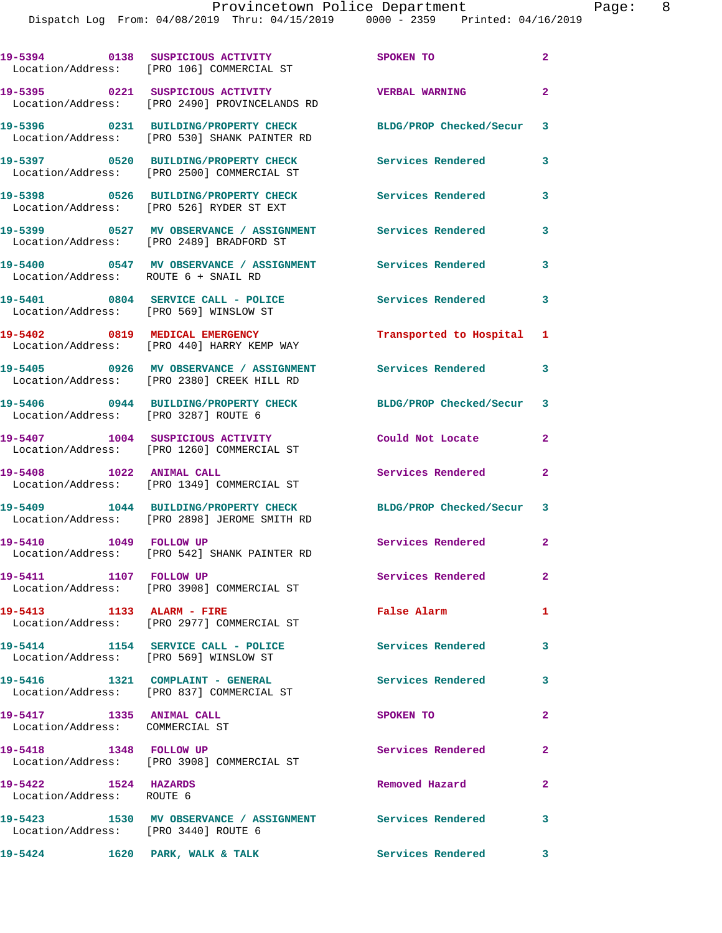|                                                             | 19-5394 0138 SUSPICIOUS ACTIVITY<br>Location/Address: [PRO 106] COMMERCIAL ST                            | SPOKEN TO                 | $\mathbf{2}$ |
|-------------------------------------------------------------|----------------------------------------------------------------------------------------------------------|---------------------------|--------------|
|                                                             | 19-5395 0221 SUSPICIOUS ACTIVITY<br>Location/Address: [PRO 2490] PROVINCELANDS RD                        | <b>VERBAL WARNING</b>     | $\mathbf{2}$ |
|                                                             | 19-5396 0231 BUILDING/PROPERTY CHECK<br>Location/Address: [PRO 530] SHANK PAINTER RD                     | BLDG/PROP Checked/Secur   | 3            |
|                                                             | 19-5397 0520 BUILDING/PROPERTY CHECK<br>Location/Address: [PRO 2500] COMMERCIAL ST                       | <b>Services Rendered</b>  | 3            |
|                                                             | 19-5398 0526 BUILDING/PROPERTY CHECK<br>Location/Address: [PRO 526] RYDER ST EXT                         | <b>Services Rendered</b>  | 3            |
|                                                             | 19-5399 		 0527 MV OBSERVANCE / ASSIGNMENT Services Rendered<br>Location/Address: [PRO 2489] BRADFORD ST |                           | 3            |
|                                                             |                                                                                                          |                           | 3            |
| Location/Address: [PRO 569] WINSLOW ST                      | 19-5401 0804 SERVICE CALL - POLICE                                                                       | Services Rendered         | 3            |
|                                                             | 19-5402 0819 MEDICAL EMERGENCY<br>Location/Address: [PRO 440] HARRY KEMP WAY                             | Transported to Hospital 1 |              |
|                                                             | 19-5405 0926 MV OBSERVANCE / ASSIGNMENT<br>Location/Address: [PRO 2380] CREEK HILL RD                    | <b>Services Rendered</b>  | 3            |
| Location/Address: [PRO 3287] ROUTE 6                        | 19-5406 0944 BUILDING/PROPERTY CHECK                                                                     | BLDG/PROP Checked/Secur 3 |              |
|                                                             | 19-5407 1004 SUSPICIOUS ACTIVITY<br>Location/Address: [PRO 1260] COMMERCIAL ST                           | Could Not Locate          | $\mathbf{2}$ |
| 19-5408 1022 ANIMAL CALL                                    | Location/Address: [PRO 1349] COMMERCIAL ST                                                               | Services Rendered         | $\mathbf{2}$ |
|                                                             | 19-5409 1044 BUILDING/PROPERTY CHECK<br>Location/Address: [PRO 2898] JEROME SMITH RD                     | BLDG/PROP Checked/Secur   | 3            |
| 1049 FOLLOW UP<br>19-5410                                   | Location/Address: [PRO 542] SHANK PAINTER RD                                                             | Services Rendered         | $\mathbf{2}$ |
| 19-5411 1107 FOLLOW UP                                      | Location/Address: [PRO 3908] COMMERCIAL ST                                                               | Services Rendered         | $\mathbf{2}$ |
|                                                             | 19-5413 1133 ALARM - FIRE<br>Location/Address: [PRO 2977] COMMERCIAL ST                                  | False Alarm               | 1            |
| Location/Address: [PRO 569] WINSLOW ST                      | 19-5414 1154 SERVICE CALL - POLICE                                                                       | Services Rendered         | 3            |
|                                                             | 19-5416 1321 COMPLAINT - GENERAL<br>Location/Address: [PRO 837] COMMERCIAL ST                            | Services Rendered         | 3            |
| 19-5417 1335 ANIMAL CALL<br>Location/Address: COMMERCIAL ST |                                                                                                          | SPOKEN TO                 | $\mathbf{2}$ |
| 19-5418    1348    FOLLOW UP                                | Location/Address: [PRO 3908] COMMERCIAL ST                                                               | Services Rendered         | $\mathbf{2}$ |
| 19-5422 1524 HAZARDS<br>Location/Address: ROUTE 6           |                                                                                                          | Removed Hazard            | $\mathbf{2}$ |
| Location/Address: [PRO 3440] ROUTE 6                        | 19-5423 1530 MV OBSERVANCE / ASSIGNMENT Services Rendered                                                |                           | 3            |
| 19-5424 1620 PARK, WALK & TALK                              |                                                                                                          | <b>Services Rendered</b>  | 3            |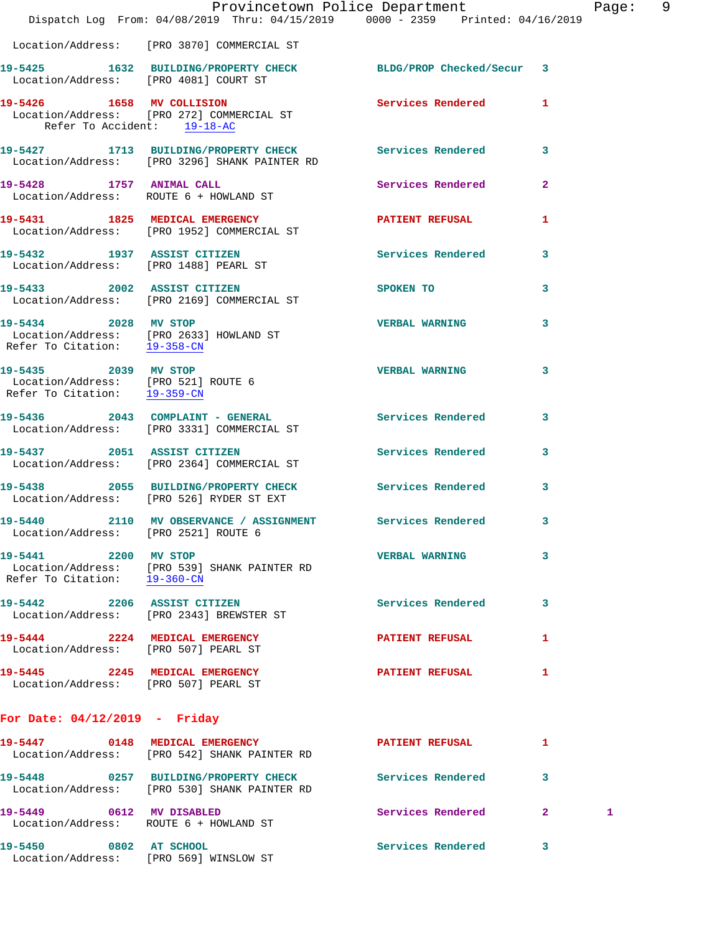|                                                                       | Dispatch Log From: 04/08/2019 Thru: 04/15/2019 0000 - 2359 Printed: 04/16/2019                                                 | Provincetown Police Department |                | Page: | 9 |
|-----------------------------------------------------------------------|--------------------------------------------------------------------------------------------------------------------------------|--------------------------------|----------------|-------|---|
|                                                                       | Location/Address: [PRO 3870] COMMERCIAL ST                                                                                     |                                |                |       |   |
|                                                                       | 19-5425 1632 BUILDING/PROPERTY CHECK BLDG/PROP Checked/Secur $\,$ 3 Location/Address: [PRO 4081] COURT ST                      |                                |                |       |   |
|                                                                       | 19-5426 1658 MV COLLISION 2008 Services Rendered 1<br>Location/Address: [PRO 272] COMMERCIAL ST<br>Refer To Accident: 19-18-AC |                                |                |       |   |
|                                                                       | 19-5427 1713 BUILDING/PROPERTY CHECK Services Rendered<br>Location/Address: [PRO 3296] SHANK PAINTER RD                        |                                | $\mathbf{3}$   |       |   |
|                                                                       | 19-5428 1757 ANIMAL CALL<br>Location/Address: ROUTE 6 + HOWLAND ST                                                             | Services Rendered              | $\overline{2}$ |       |   |
|                                                                       | 19-5431 1825 MEDICAL EMERGENCY PATIENT REFUSAL<br>Location/Address: [PRO 1952] COMMERCIAL ST                                   |                                | 1              |       |   |
|                                                                       | 19-5432 1937 ASSIST CITIZEN<br>Location/Address: [PRO 1488] PEARL ST                                                           | Services Rendered              | 3              |       |   |
| 19-5433 2002 ASSIST CITIZEN                                           | Location/Address: [PRO 2169] COMMERCIAL ST                                                                                     | SPOKEN TO                      | 3              |       |   |
|                                                                       | 19-5434 2028 MV STOP<br>Location/Address: [PRO 2633] HOWLAND ST<br>Refer To Citation: 19-358-CN                                | <b>VERBAL WARNING</b>          | 3              |       |   |
| Location/Address: [PRO 521] ROUTE 6<br>Refer To Citation: $19-359-CN$ | 19-5435 2039 MV STOP                                                                                                           | <b>VERBAL WARNING</b>          | 3              |       |   |
|                                                                       | 19-5436 2043 COMPLAINT - GENERAL Services Rendered<br>Location/Address: [PRO 3331] COMMERCIAL ST                               |                                | 3              |       |   |
|                                                                       | 19-5437 2051 ASSIST CITIZEN<br>Location/Address: [PRO 2364] COMMERCIAL ST                                                      | Services Rendered              | 3              |       |   |
|                                                                       | 19-5438 2055 BUILDING/PROPERTY CHECK Services Rendered<br>Location/Address: [PRO 526] RYDER ST EXT                             |                                | $\mathbf{3}$   |       |   |
| 19-5440                                                               | 2110 MV OBSERVANCE / ASSIGNMENT<br>Location/Address: [PRO 2521] ROUTE 6                                                        | Services Rendered              | 3              |       |   |
| Refer To Citation: $19-360-CN$                                        | 19-5441 2200 MV STOP<br>Location/Address: [PRO 539] SHANK PAINTER RD                                                           | <b>VERBAL WARNING</b>          | 3              |       |   |
|                                                                       | 19-5442 2206 ASSIST CITIZEN<br>Location/Address: [PRO 2343] BREWSTER ST                                                        | Services Rendered              | 3              |       |   |
|                                                                       | 19-5444 2224 MEDICAL EMERGENCY<br>Location/Address: [PRO 507] PEARL ST                                                         | <b>PATIENT REFUSAL</b>         | 1              |       |   |
| Location/Address: [PRO 507] PEARL ST                                  | 19-5445 2245 MEDICAL EMERGENCY                                                                                                 | <b>PATIENT REFUSAL</b>         | 1              |       |   |
| For Date: $04/12/2019$ - Friday                                       |                                                                                                                                |                                |                |       |   |
|                                                                       | 19-5447 0148 MEDICAL EMERGENCY<br>Location/Address: [PRO 542] SHANK PAINTER RD                                                 | <b>PATIENT REFUSAL</b>         | 1              |       |   |
|                                                                       | 19-5448 0257 BUILDING/PROPERTY CHECK Services Rendered<br>Location/Address: [PRO 530] SHANK PAINTER RD                         |                                | 3              |       |   |
|                                                                       | 19-5449 0612 MV DISABLED<br>Location/Address: ROUTE 6 + HOWLAND ST                                                             | Services Rendered              | $\mathbf{2}$   | 1     |   |
| 19-5450 0802 AT SCHOOL                                                | Location/Address: [PRO 569] WINSLOW ST                                                                                         | Services Rendered              | 3              |       |   |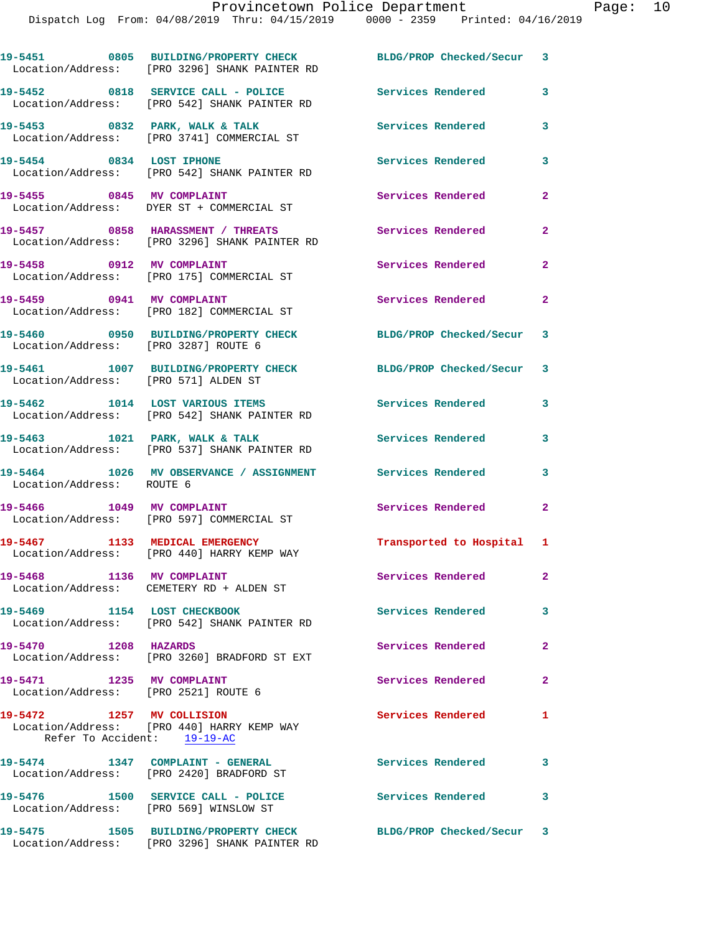|                                                                   | 19-5451 0805 BUILDING/PROPERTY CHECK BLDG/PROP Checked/Secur 3<br>Location/Address: [PRO 3296] SHANK PAINTER RD |                           |                            |
|-------------------------------------------------------------------|-----------------------------------------------------------------------------------------------------------------|---------------------------|----------------------------|
|                                                                   | 19-5452 0818 SERVICE CALL - POLICE<br>Location/Address: [PRO 542] SHANK PAINTER RD                              | <b>Services Rendered</b>  | $\overline{\mathbf{3}}$    |
|                                                                   | 19-5453 0832 PARK, WALK & TALK<br>Location/Address: [PRO 3741] COMMERCIAL ST                                    | <b>Services Rendered</b>  | 3                          |
| 19-5454 0834 LOST IPHONE                                          | Location/Address: [PRO 542] SHANK PAINTER RD                                                                    | Services Rendered         | 3                          |
|                                                                   | 19-5455 0845 MV COMPLAINT<br>Location/Address: DYER ST + COMMERCIAL ST                                          | Services Rendered         | $\mathbf{2}$               |
|                                                                   | 19-5457 0858 HARASSMENT / THREATS<br>Location/Address: [PRO 3296] SHANK PAINTER RD                              | Services Rendered         | $\mathbf{2}$               |
|                                                                   | 19-5458 0912 MV COMPLAINT<br>Location/Address: [PRO 175] COMMERCIAL ST                                          | Services Rendered         | $\mathbf{2}$               |
| 19-5459 0941 MV COMPLAINT                                         | Location/Address: [PRO 182] COMMERCIAL ST                                                                       | Services Rendered         | $\mathbf{2}$               |
| Location/Address: [PRO 3287] ROUTE 6                              | 19-5460 0950 BUILDING/PROPERTY CHECK                                                                            | BLDG/PROP Checked/Secur 3 |                            |
| Location/Address: [PRO 571] ALDEN ST                              | 19-5461 1007 BUILDING/PROPERTY CHECK                                                                            | BLDG/PROP Checked/Secur 3 |                            |
|                                                                   | 19-5462 1014 LOST VARIOUS ITEMS<br>Location/Address: [PRO 542] SHANK PAINTER RD                                 | Services Rendered         | $\overline{\mathbf{3}}$    |
|                                                                   | 19-5463 1021 PARK, WALK & TALK<br>Location/Address: [PRO 537] SHANK PAINTER RD                                  | <b>Services Rendered</b>  | 3                          |
| Location/Address: ROUTE 6                                         | 19-5464 1026 MV OBSERVANCE / ASSIGNMENT Services Rendered 3                                                     |                           |                            |
|                                                                   | 19-5466 1049 MV COMPLAINT<br>Location/Address: [PRO 597] COMMERCIAL ST                                          | Services Rendered         | $\mathbf{2}$               |
|                                                                   | 19-5467 1133 MEDICAL EMERGENCY<br>Location/Address: [PRO 440] HARRY KEMP WAY                                    | Transported to Hospital 1 |                            |
| 19-5468 1136 MV COMPLAINT                                         | Location/Address: CEMETERY RD + ALDEN ST                                                                        | Services Rendered         | $\mathbf{2}$               |
|                                                                   | 19-5469 1154 LOST CHECKBOOK<br>Location/Address: [PRO 542] SHANK PAINTER RD                                     | <b>Services Rendered</b>  | 3                          |
| 19-5470 1208 HAZARDS                                              | Location/Address: [PRO 3260] BRADFORD ST EXT                                                                    | Services Rendered         | $\mathbf{2}$               |
| 19-5471 1235 MV COMPLAINT<br>Location/Address: [PRO 2521] ROUTE 6 |                                                                                                                 | Services Rendered         | $\mathbf{2}$               |
| 19-5472 1257 MV COLLISION<br>Refer To Accident: 19-19-AC          | Location/Address: [PRO 440] HARRY KEMP WAY                                                                      | <b>Services Rendered</b>  | 1                          |
|                                                                   | 19-5474 1347 COMPLAINT - GENERAL<br>Location/Address: [PRO 2420] BRADFORD ST                                    | <b>Services Rendered</b>  | $\overline{\phantom{a}}$ 3 |
| Location/Address: [PRO 569] WINSLOW ST                            | 19-5476 1500 SERVICE CALL - POLICE                                                                              | <b>Services Rendered</b>  | 3                          |
|                                                                   | 19-5475 1505 BUILDING/PROPERTY CHECK BLDG/PROP Checked/Secur 3<br>Location/Address: [PRO 3296] SHANK PAINTER RD |                           |                            |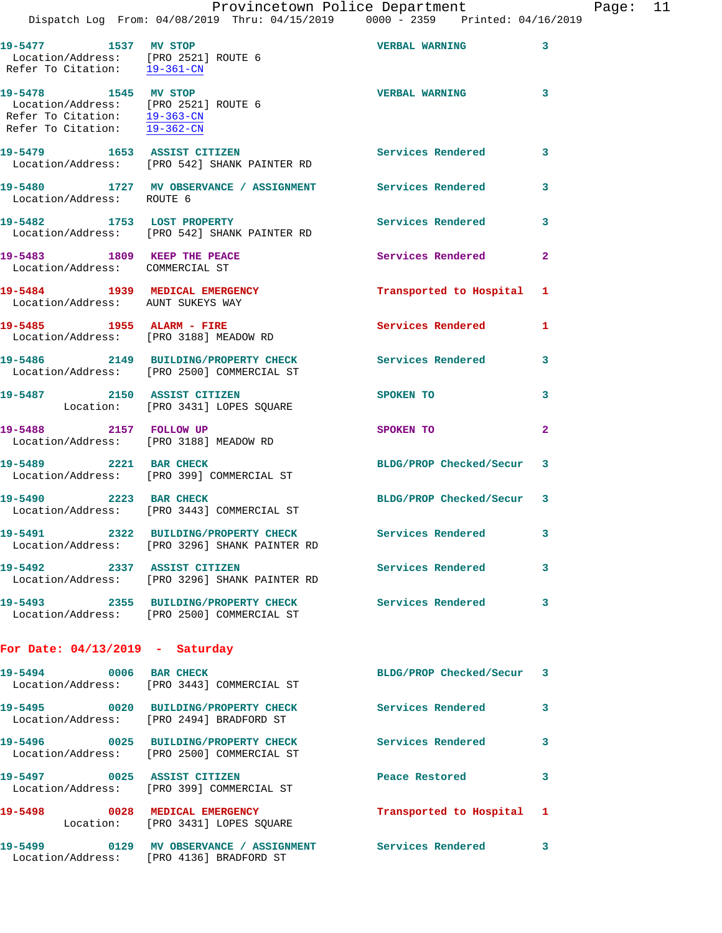Dispatch Log From: 04/08/2019 Thru: 04/15/2019 0000 - 2359 Printed: 04/16/2019

| 19-5477 1537 MV STOP<br>Location/Address: [PRO 2521] ROUTE 6<br>Refer To Citation: 19-361-CN                                 |                                                                                                           | <b>VERBAL WARNING</b>     | 3                          |
|------------------------------------------------------------------------------------------------------------------------------|-----------------------------------------------------------------------------------------------------------|---------------------------|----------------------------|
| 19-5478 1545 MV STOP<br>Location/Address: [PRO 2521] ROUTE 6<br>Refer To Citation: 19-363-CN<br>Refer To Citation: 19-362-CN |                                                                                                           | <b>VERBAL WARNING</b>     | $\overline{\mathbf{3}}$    |
| 19-5479 1653 ASSIST CITIZEN                                                                                                  | Location/Address: [PRO 542] SHANK PAINTER RD                                                              | <b>Services Rendered</b>  | 3                          |
| Location/Address: ROUTE 6                                                                                                    | 19-5480 1727 MV OBSERVANCE / ASSIGNMENT Services Rendered                                                 |                           | 3                          |
| 19-5482 1753 LOST PROPERTY                                                                                                   | Location/Address: [PRO 542] SHANK PAINTER RD                                                              | Services Rendered         | 3                          |
| 19-5483 1809 KEEP THE PEACE<br>Location/Address: COMMERCIAL ST                                                               |                                                                                                           | Services Rendered         | $\overline{2}$             |
| 19-5484 1939 MEDICAL EMERGENCY<br>Location/Address: AUNT SUKEYS WAY                                                          |                                                                                                           | Transported to Hospital 1 |                            |
| 19-5485 1955 ALARM - FIRE                                                                                                    | Location/Address: [PRO 3188] MEADOW RD                                                                    | <b>Services Rendered</b>  | 1                          |
|                                                                                                                              | 19-5486 2149 BUILDING/PROPERTY CHECK<br>Location/Address: [PRO 2500] COMMERCIAL ST                        | <b>Services Rendered</b>  | 3                          |
|                                                                                                                              | 19-5487 2150 ASSIST CITIZEN<br>Location: [PRO 3431] LOPES SQUARE                                          | SPOKEN TO                 | 3                          |
| 19-5488 2157 FOLLOW UP                                                                                                       | Location/Address: [PRO 3188] MEADOW RD                                                                    | SPOKEN TO                 | $\overline{a}$             |
| 19-5489 2221 BAR CHECK                                                                                                       | Location/Address: [PRO 399] COMMERCIAL ST                                                                 | BLDG/PROP Checked/Secur 3 |                            |
| 19-5490 2223 BAR CHECK                                                                                                       | Location/Address: [PRO 3443] COMMERCIAL ST                                                                | BLDG/PROP Checked/Secur 3 |                            |
|                                                                                                                              | 19-5491 2322 BUILDING/PROPERTY CHECK Services Rendered 3<br>Location/Address: [PRO 3296] SHANK PAINTER RD |                           |                            |
| 19-5492                                                                                                                      | 2337 ASSIST CITIZEN<br>Location/Address: [PRO 3296] SHANK PAINTER RD                                      | Services Rendered         | $\mathbf{3}$               |
|                                                                                                                              |                                                                                                           | <b>Services Rendered</b>  | $\overline{\phantom{a}}$ 3 |
| For Date: $04/13/2019$ - Saturday                                                                                            |                                                                                                           |                           |                            |
| 19-5494 0006 BAR CHECK                                                                                                       | Location/Address: [PRO 3443] COMMERCIAL ST                                                                | BLDG/PROP Checked/Secur 3 |                            |
|                                                                                                                              | 19-5495 0020 BUILDING/PROPERTY CHECK<br>Location/Address: [PRO 2494] BRADFORD ST                          | <b>Services Rendered</b>  | 3                          |
|                                                                                                                              | 19-5496 0025 BUILDING/PROPERTY CHECK<br>Location/Address: [PRO 2500] COMMERCIAL ST                        | <b>Services Rendered</b>  | 3                          |
| 19-5497 0025 ASSIST CITIZEN                                                                                                  | Location/Address: [PRO 399] COMMERCIAL ST                                                                 | Peace Restored            | 3                          |
| 19-5498                                                                                                                      | 0028 MEDICAL EMERGENCY<br>Location: [PRO 3431] LOPES SQUARE                                               | Transported to Hospital 1 |                            |
|                                                                                                                              | 19-5499 		 0129 MV OBSERVANCE / ASSIGNMENT Services Rendered 3                                            |                           |                            |

Location/Address: [PRO 4136] BRADFORD ST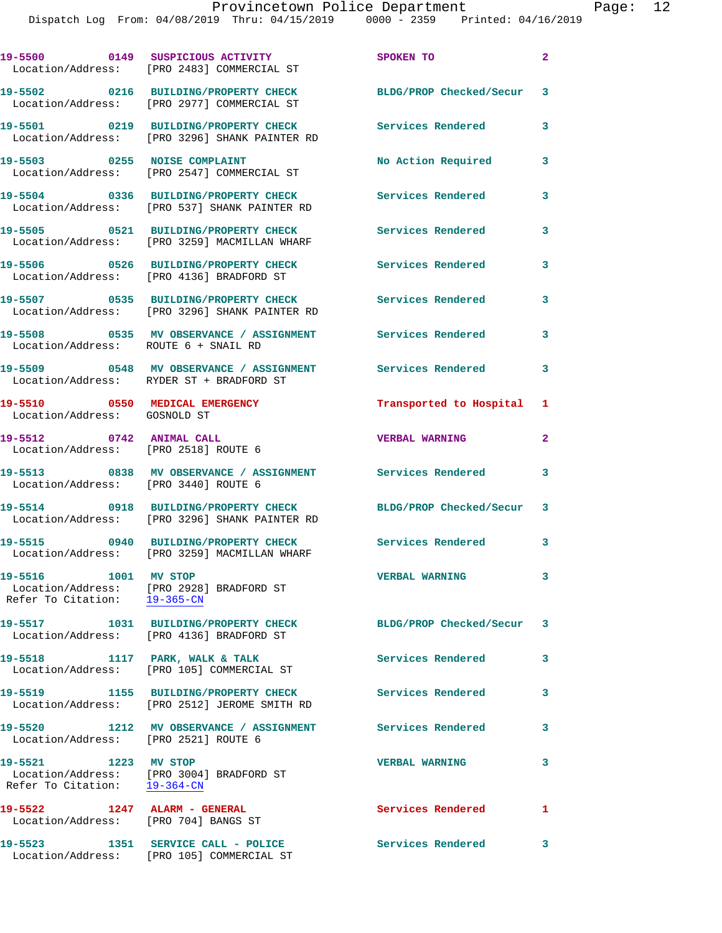|                                                                      | 19-5500 0149 SUSPICIOUS ACTIVITY<br>Location/Address: [PRO 2483] COMMERCIAL ST        | SPOKEN TO                  | $\mathbf{2}$            |
|----------------------------------------------------------------------|---------------------------------------------------------------------------------------|----------------------------|-------------------------|
|                                                                      | 19-5502 0216 BUILDING/PROPERTY CHECK<br>Location/Address: [PRO 2977] COMMERCIAL ST    | BLDG/PROP Checked/Secur 3  |                         |
|                                                                      | 19-5501 0219 BUILDING/PROPERTY CHECK<br>Location/Address: [PRO 3296] SHANK PAINTER RD | <b>Services Rendered</b>   | 3                       |
| 19-5503 0255 NOISE COMPLAINT                                         | Location/Address: [PRO 2547] COMMERCIAL ST                                            | No Action Required         | 3                       |
|                                                                      | 19-5504 0336 BUILDING/PROPERTY CHECK<br>Location/Address: [PRO 537] SHANK PAINTER RD  | <b>Services Rendered</b>   | 3                       |
|                                                                      | 19-5505 0521 BUILDING/PROPERTY CHECK<br>Location/Address: [PRO 3259] MACMILLAN WHARF  | Services Rendered          | 3                       |
|                                                                      | 19-5506 0526 BUILDING/PROPERTY CHECK<br>Location/Address: [PRO 4136] BRADFORD ST      | <b>Services Rendered</b>   | 3                       |
|                                                                      | 19-5507 0535 BUILDING/PROPERTY CHECK<br>Location/Address: [PRO 3296] SHANK PAINTER RD | <b>Services Rendered</b>   | 3                       |
| Location/Address: ROUTE 6 + SNAIL RD                                 | 19-5508 		 0535 MV OBSERVANCE / ASSIGNMENT Services Rendered                          |                            | 3                       |
|                                                                      | 19-5509 0548 MV OBSERVANCE / ASSIGNMENT<br>Location/Address: RYDER ST + BRADFORD ST   | <b>Services Rendered</b>   | 3                       |
| 19-5510 0550 MEDICAL EMERGENCY<br>Location/Address: GOSNOLD ST       |                                                                                       | Transported to Hospital 1  |                         |
| 19-5512 0742 ANIMAL CALL                                             | Location/Address: [PRO 2518] ROUTE 6                                                  | <b>VERBAL WARNING</b>      | $\overline{a}$          |
| Location/Address: [PRO 3440] ROUTE 6                                 | 19-5513 0838 MV OBSERVANCE / ASSIGNMENT Services Rendered                             |                            | $\overline{\mathbf{3}}$ |
|                                                                      | 19-5514 0918 BUILDING/PROPERTY CHECK<br>Location/Address: [PRO 3296] SHANK PAINTER RD | BLDG/PROP Checked/Secur 3  |                         |
|                                                                      | 19-5515 0940 BUILDING/PROPERTY CHECK<br>Location/Address: [PRO 3259] MACMILLAN WHARF  | <b>Services Rendered</b> 3 |                         |
| 19-5516 1001 MV STOP                                                 | Location/Address: [PRO 2928] BRADFORD ST<br>Refer To Citation: 19-365-CN              | <b>VERBAL WARNING</b>      | 3                       |
|                                                                      | 19-5517 1031 BUILDING/PROPERTY CHECK<br>Location/Address: [PRO 4136] BRADFORD ST      | BLDG/PROP Checked/Secur 3  |                         |
|                                                                      | 19-5518 1117 PARK, WALK & TALK<br>Location/Address: [PRO 105] COMMERCIAL ST           | Services Rendered          | 3                       |
| 19-5519                                                              | 1155 BUILDING/PROPERTY CHECK<br>Location/Address: [PRO 2512] JEROME SMITH RD          | Services Rendered          | 3                       |
| Location/Address: [PRO 2521] ROUTE 6                                 | 19-5520 1212 MV OBSERVANCE / ASSIGNMENT                                               | <b>Services Rendered</b>   | 3                       |
| 19-5521 1223 MV STOP<br>Refer To Citation: 19-364-CN                 | Location/Address: [PRO 3004] BRADFORD ST                                              | <b>VERBAL WARNING</b>      | 3                       |
| 19-5522 1247 ALARM - GENERAL<br>Location/Address: [PRO 704] BANGS ST |                                                                                       | Services Rendered          | $\mathbf{1}$            |
|                                                                      | 19-5523 1351 SERVICE CALL - POLICE<br>Location/Address: [PRO 105] COMMERCIAL ST       | <b>Services Rendered</b>   | 3                       |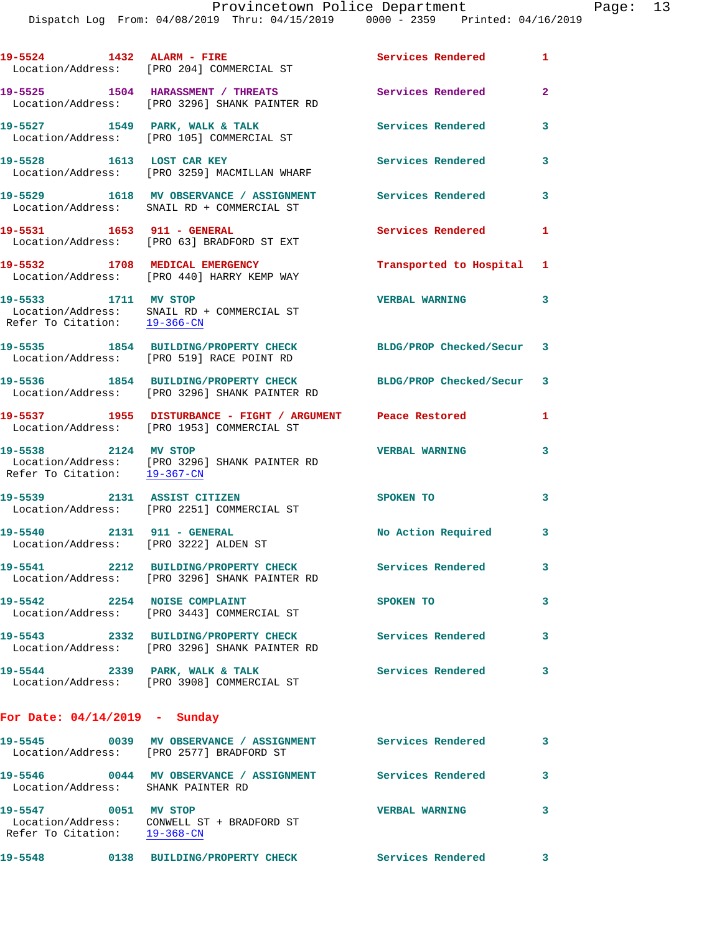Dispatch Log From: 04/08/2019 Thru: 04/15/2019 0000 - 2359 Printed: 04/16/2019

|                                                                     | 19-5524 1432 ALARM - FIRE<br>Location/Address: [PRO 204] COMMERCIAL ST                                   | Services Rendered 1       |                         |
|---------------------------------------------------------------------|----------------------------------------------------------------------------------------------------------|---------------------------|-------------------------|
|                                                                     | 19-5525 1504 HARASSMENT / THREATS<br>Location/Address: [PRO 3296] SHANK PAINTER RD                       | <b>Services Rendered</b>  | $\overline{2}$          |
|                                                                     | 19-5527 1549 PARK, WALK & TALK<br>Location/Address: [PRO 105] COMMERCIAL ST                              | <b>Services Rendered</b>  | 3                       |
|                                                                     | 19-5528 1613 LOST CAR KEY<br>Location/Address: [PRO 3259] MACMILLAN WHARF                                | <b>Services Rendered</b>  | 3                       |
|                                                                     | 19-5529 1618 MV OBSERVANCE / ASSIGNMENT Services Rendered<br>Location/Address: SNAIL RD + COMMERCIAL ST  |                           | $\overline{\mathbf{3}}$ |
|                                                                     | 19-5531 1653 911 - GENERAL<br>Location/Address: [PRO 63] BRADFORD ST EXT                                 | <b>Services Rendered</b>  | $\mathbf{1}$            |
|                                                                     | 19-5532 1708 MEDICAL EMERGENCY<br>Location/Address: [PRO 440] HARRY KEMP WAY                             | Transported to Hospital 1 |                         |
| 19-5533 1711 MV STOP                                                | Location/Address: SNAIL RD + COMMERCIAL ST<br>Refer To Citation: 19-366-CN                               | <b>VERBAL WARNING</b>     | $\mathbf{3}$            |
|                                                                     | 19-5535 1854 BUILDING/PROPERTY CHECK<br>Location/Address: [PRO 519] RACE POINT RD                        | BLDG/PROP Checked/Secur 3 |                         |
|                                                                     | 19-5536 1854 BUILDING/PROPERTY CHECK<br>Location/Address: [PRO 3296] SHANK PAINTER RD                    | BLDG/PROP Checked/Secur 3 |                         |
|                                                                     | 19-5537 1955 DISTURBANCE - FIGHT / ARGUMENT Peace Restored<br>Location/Address: [PRO 1953] COMMERCIAL ST |                           | $\mathbf{1}$            |
| 19-5538 2124 MV STOP                                                | Location/Address: [PRO 3296] SHANK PAINTER RD<br>Refer To Citation: $\frac{19-367-CN}{2}$                | <b>VERBAL WARNING</b>     | 3                       |
|                                                                     | 19-5539 2131 ASSIST CITIZEN<br>Location/Address: [PRO 2251] COMMERCIAL ST                                | SPOKEN TO                 | 3                       |
| 19-5540 2131 911 - GENERAL<br>Location/Address: [PRO 3222] ALDEN ST |                                                                                                          | No Action Required 3      |                         |
|                                                                     | 19-5541 2212 BUILDING/PROPERTY CHECK<br>Location/Address: [PRO 3296] SHANK PAINTER RD                    | Services Rendered         | 3                       |
| 19-5542                                                             | 2254 NOISE COMPLAINT<br>Location/Address: [PRO 3443] COMMERCIAL ST                                       | SPOKEN TO                 | 3                       |
|                                                                     | 19-5543 2332 BUILDING/PROPERTY CHECK<br>Location/Address: [PRO 3296] SHANK PAINTER RD                    | <b>Services Rendered</b>  | 3                       |
| 19-5544 2339 PARK, WALK & TALK                                      | Location/Address: [PRO 3908] COMMERCIAL ST                                                               | Services Rendered         | 3                       |
| For Date: $04/14/2019$ - Sunday                                     |                                                                                                          |                           |                         |
|                                                                     | 19-5545 0039 MV OBSERVANCE / ASSIGNMENT Services Rendered<br>Location/Address: [PRO 2577] BRADFORD ST    |                           | 3                       |
| Location/Address: SHANK PAINTER RD                                  | 19-5546 0044 MV OBSERVANCE / ASSIGNMENT Services Rendered                                                |                           | 3                       |
| 19-5547 0051 MV STOP                                                | Location/Address: CONWELL ST + BRADFORD ST<br>Refer To Citation: 19-368-CN                               | <b>VERBAL WARNING</b>     | 3                       |
|                                                                     |                                                                                                          |                           |                         |

**19-5548 0138 BUILDING/PROPERTY CHECK Services Rendered 3**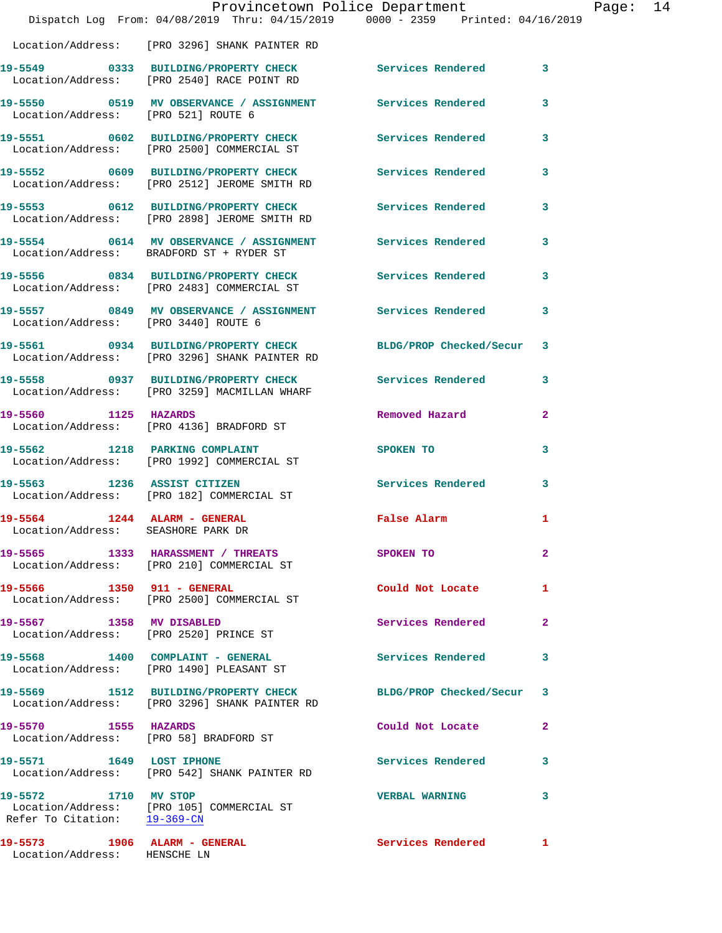|                                                              | Dispatch Log From: 04/08/2019 Thru: 04/15/2019 0000 - 2359 Printed: 04/16/2019                                  | Provincetown Police Department |              | Page: | 14 |
|--------------------------------------------------------------|-----------------------------------------------------------------------------------------------------------------|--------------------------------|--------------|-------|----|
|                                                              | Location/Address: [PRO 3296] SHANK PAINTER RD                                                                   |                                |              |       |    |
|                                                              | 19-5549 0333 BUILDING/PROPERTY CHECK Services Rendered 3<br>Location/Address: [PRO 2540] RACE POINT RD          |                                |              |       |    |
| Location/Address: [PRO 521] ROUTE 6                          | 19-5550 0519 MV OBSERVANCE / ASSIGNMENT Services Rendered                                                       |                                | 3            |       |    |
|                                                              | 19-5551 0602 BUILDING/PROPERTY CHECK Services Rendered<br>Location/Address: [PRO 2500] COMMERCIAL ST            |                                | 3            |       |    |
|                                                              | 19-5552 0609 BUILDING/PROPERTY CHECK Services Rendered<br>Location/Address: [PRO 2512] JEROME SMITH RD          |                                | 3            |       |    |
|                                                              | 19-5553 0612 BUILDING/PROPERTY CHECK Services Rendered 3<br>Location/Address: [PRO 2898] JEROME SMITH RD        |                                |              |       |    |
|                                                              | 19-5554 0614 MV OBSERVANCE / ASSIGNMENT Services Rendered<br>Location/Address: BRADFORD ST + RYDER ST           |                                | 3            |       |    |
|                                                              | 19-5556 0834 BUILDING/PROPERTY CHECK Services Rendered 3<br>Location/Address: [PRO 2483] COMMERCIAL ST          |                                |              |       |    |
| Location/Address: [PRO 3440] ROUTE 6                         | 19-5557 0849 MV OBSERVANCE / ASSIGNMENT Services Rendered                                                       |                                | 3            |       |    |
|                                                              | 19-5561 0934 BUILDING/PROPERTY CHECK BLDG/PROP Checked/Secur 3<br>Location/Address: [PRO 3296] SHANK PAINTER RD |                                |              |       |    |
|                                                              | 19-5558 0937 BUILDING/PROPERTY CHECK Services Rendered 3<br>Location/Address: [PRO 3259] MACMILLAN WHARF        |                                |              |       |    |
| 19-5560 1125 HAZARDS                                         | Location/Address: [PRO 4136] BRADFORD ST                                                                        | Removed Hazard                 | $\mathbf{2}$ |       |    |
|                                                              | 19-5562 1218 PARKING COMPLAINT<br>Location/Address: [PRO 1992] COMMERCIAL ST                                    | SPOKEN TO                      | 3            |       |    |
|                                                              | 19-5563 1236 ASSIST CITIZEN<br>Location/Address: [PRO 182] COMMERCIAL ST                                        | Services Rendered              | 3            |       |    |
| 19-5564 1244 ALARM - GENERAL<br>Location/Address:            | SEASHORE PARK DR                                                                                                | False Alarm                    | 1            |       |    |
|                                                              | 19-5565 1333 HARASSMENT / THREATS<br>Location/Address: [PRO 210] COMMERCIAL ST                                  | SPOKEN TO                      | $\mathbf{2}$ |       |    |
|                                                              | 19-5566 1350 911 - GENERAL<br>Location/Address: [PRO 2500] COMMERCIAL ST                                        | Could Not Locate               | 1            |       |    |
| 19-5567 1358 MV DISABLED                                     | Location/Address: [PRO 2520] PRINCE ST                                                                          | Services Rendered              | $\mathbf{2}$ |       |    |
|                                                              | 19-5568 1400 COMPLAINT - GENERAL<br>Location/Address: [PRO 1490] PLEASANT ST                                    | Services Rendered              | 3            |       |    |
|                                                              | 19-5569 1512 BUILDING/PROPERTY CHECK<br>Location/Address: [PRO 3296] SHANK PAINTER RD                           | BLDG/PROP Checked/Secur 3      |              |       |    |
| 19-5570 1555 HAZARDS                                         | Location/Address: [PRO 58] BRADFORD ST                                                                          | Could Not Locate               | 2            |       |    |
| 19-5571 1649 LOST IPHONE                                     | Location/Address: [PRO 542] SHANK PAINTER RD                                                                    | Services Rendered              | 3            |       |    |
| 19-5572 1710 MV STOP<br>Refer To Citation: 19-369-CN         | Location/Address: [PRO 105] COMMERCIAL ST                                                                       | <b>VERBAL WARNING</b>          | 3            |       |    |
| 19-5573 1906 ALARM - GENERAL<br>Location/Address: HENSCHE LN |                                                                                                                 | Services Rendered              | $\mathbf{1}$ |       |    |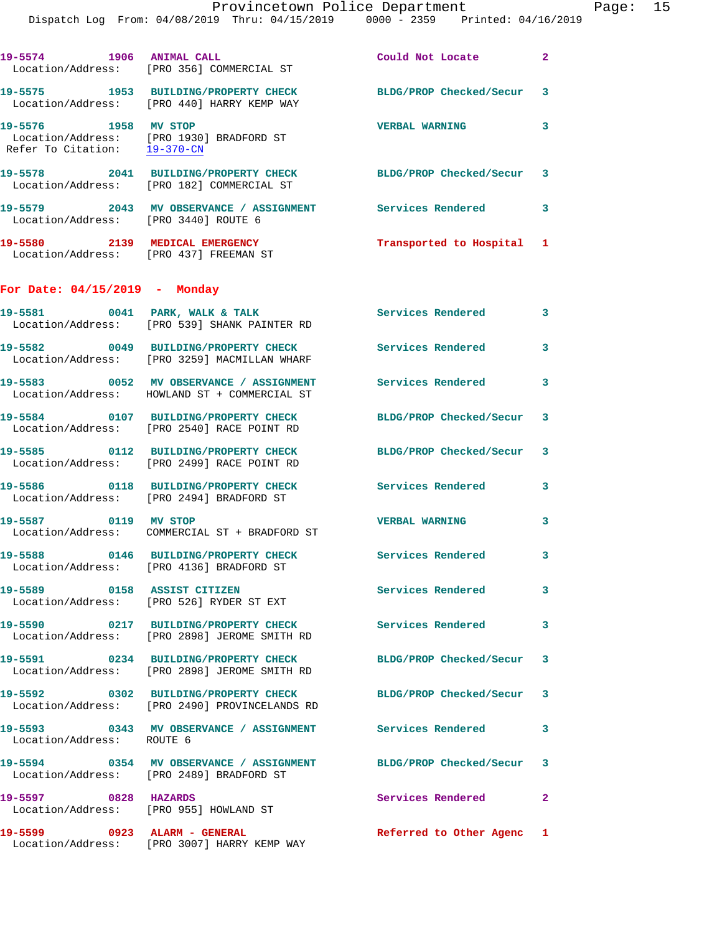|                                                      | Dispatch Log From: 04/08/2019 Thru: 04/15/2019 0000 - 2359 Printed: 04/16/2019                              |                          |                |
|------------------------------------------------------|-------------------------------------------------------------------------------------------------------------|--------------------------|----------------|
| 19-5574 1906 ANIMAL CALL                             | Location/Address: [PRO 356] COMMERCIAL ST                                                                   | Could Not Locate         | $\mathbf{2}$   |
|                                                      | 19-5575 1953 BUILDING/PROPERTY CHECK<br>Location/Address: [PRO 440] HARRY KEMP WAY                          | BLDG/PROP Checked/Secur  | 3              |
| 19-5576 1958 MV STOP<br>Refer To Citation: 19-370-CN | Location/Address: [PRO 1930] BRADFORD ST                                                                    | <b>VERBAL WARNING</b>    | 3              |
|                                                      | 19-5578 2041 BUILDING/PROPERTY CHECK BLDG/PROP Checked/Secur<br>Location/Address: [PRO 182] COMMERCIAL ST   |                          | 3              |
| Location/Address: [PRO 3440] ROUTE 6                 | 19-5579 2043 MV OBSERVANCE / ASSIGNMENT Services Rendered                                                   |                          | 3              |
|                                                      | 19-5580 2139 MEDICAL EMERGENCY<br>Location/Address: [PRO 437] FREEMAN ST                                    | Transported to Hospital  | 1              |
| For Date: $04/15/2019$ - Monday                      |                                                                                                             |                          |                |
|                                                      | 19-5581 0041 PARK, WALK & TALK<br>Location/Address: [PRO 539] SHANK PAINTER RD                              | <b>Services Rendered</b> | 3              |
|                                                      | 19-5582 0049 BUILDING/PROPERTY CHECK<br>Location/Address: [PRO 3259] MACMILLAN WHARF                        | <b>Services Rendered</b> | 3              |
|                                                      | 19-5583 0052 MV OBSERVANCE / ASSIGNMENT<br>Location/Address: HOWLAND ST + COMMERCIAL ST                     | <b>Services Rendered</b> | 3              |
|                                                      | 19-5584 0107 BUILDING/PROPERTY CHECK<br>Location/Address: [PRO 2540] RACE POINT RD                          | BLDG/PROP Checked/Secur  | 3              |
|                                                      | 19-5585 0112 BUILDING/PROPERTY CHECK<br>Location/Address: [PRO 2499] RACE POINT RD                          | BLDG/PROP Checked/Secur  | 3              |
|                                                      | 19-5586 0118 BUILDING/PROPERTY CHECK<br>Location/Address: [PRO 2494] BRADFORD ST                            | Services Rendered        | 3              |
| 19-5587 0119 MV STOP                                 | Location/Address: COMMERCIAL ST + BRADFORD ST                                                               | <b>VERBAL WARNING</b>    | 3              |
|                                                      | 19-5588 0146 BUILDING/PROPERTY CHECK Services Rendered<br>Location/Address: [PRO 4136] BRADFORD ST          |                          | 3              |
|                                                      | 19-5589 0158 ASSIST CITIZEN<br>Location/Address: [PRO 526] RYDER ST EXT                                     | <b>Services Rendered</b> | 3              |
|                                                      | 19-5590 0217 BUILDING/PROPERTY CHECK Services Rendered<br>Location/Address: [PRO 2898] JEROME SMITH RD      |                          | 3              |
|                                                      | 19-5591 0234 BUILDING/PROPERTY CHECK<br>Location/Address: [PRO 2898] JEROME SMITH RD                        | BLDG/PROP Checked/Secur  | 3              |
|                                                      | 19-5592 0302 BUILDING/PROPERTY CHECK<br>Location/Address: [PRO 2490] PROVINCELANDS RD                       | BLDG/PROP Checked/Secur  | 3              |
| Location/Address: ROUTE 6                            | 19-5593       0343   MV OBSERVANCE / ASSIGNMENT      Services Rendered                                      |                          | 3              |
|                                                      | 19-5594 0354 MV OBSERVANCE / ASSIGNMENT BLDG/PROP Checked/Secur<br>Location/Address: [PRO 2489] BRADFORD ST |                          | 3              |
| 19-5597 0828 HAZARDS                                 | Location/Address: [PRO 955] HOWLAND ST                                                                      | <b>Services Rendered</b> | $\overline{a}$ |
|                                                      | 19-5599 0923 ALARM - GENERAL<br>Location/Address: [PRO 3007] HARRY KEMP WAY                                 | Referred to Other Agenc  | 1              |
|                                                      |                                                                                                             |                          |                |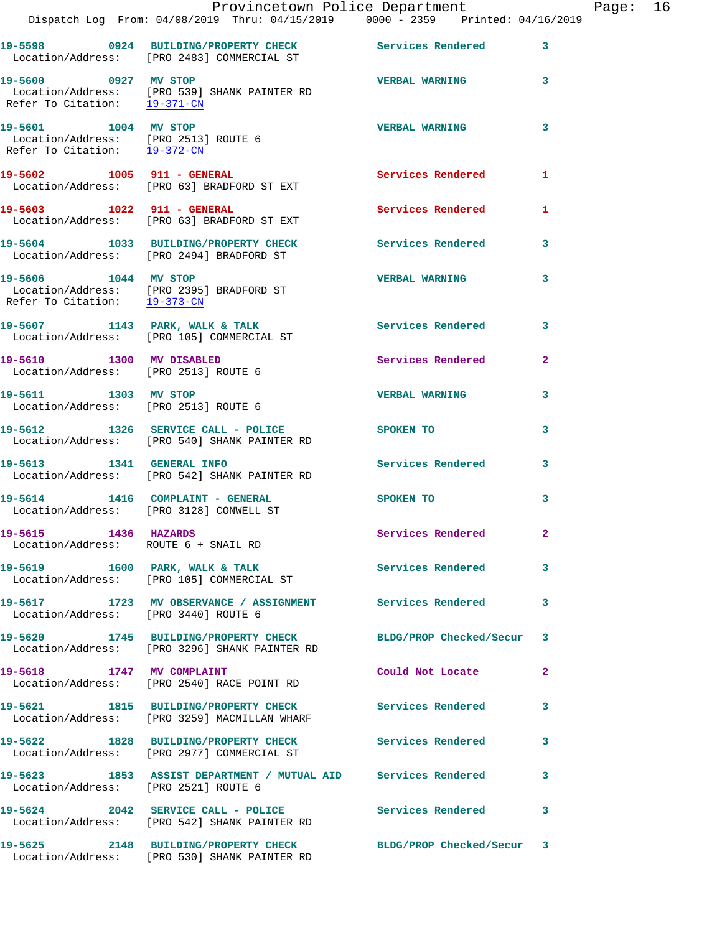|                                                              | Dispatch Log From: 04/08/2019 Thru: 04/15/2019 0000 - 2359 Printed: 04/16/2019                                  | Provincetown Police Department |                         | Page: 16 |  |
|--------------------------------------------------------------|-----------------------------------------------------------------------------------------------------------------|--------------------------------|-------------------------|----------|--|
|                                                              | 19-5598 0924 BUILDING/PROPERTY CHECK Services Rendered 3<br>Location/Address: [PRO 2483] COMMERCIAL ST          |                                |                         |          |  |
| 19-5600 0927 MV STOP                                         | Location/Address: [PRO 539] SHANK PAINTER RD<br>Refer To Citation: 19-371-CN                                    | <b>VERBAL WARNING</b>          | $\mathbf{3}$            |          |  |
| 19-5601 1004 MV STOP<br>Refer To Citation: 19-372-CN         | Location/Address: [PRO 2513] ROUTE 6                                                                            | <b>VERBAL WARNING</b>          | 3                       |          |  |
|                                                              | 19-5602 1005 911 - GENERAL<br>Location/Address: [PRO 63] BRADFORD ST EXT                                        | <b>Services Rendered</b> 1     |                         |          |  |
|                                                              | 19-5603 1022 911 - GENERAL<br>Location/Address: [PRO 63] BRADFORD ST EXT                                        | Services Rendered 1            |                         |          |  |
|                                                              | 19-5604 1033 BUILDING/PROPERTY CHECK Services Rendered<br>Location/Address: [PRO 2494] BRADFORD ST              |                                | $\overline{\mathbf{3}}$ |          |  |
| 19-5606 1044 MV STOP<br>Refer To Citation: 19-373-CN         | Location/Address: [PRO 2395] BRADFORD ST                                                                        | <b>VERBAL WARNING</b>          | 3                       |          |  |
|                                                              | 19-5607 1143 PARK, WALK & TALK 1999 Services Rendered 3<br>Location/Address: [PRO 105] COMMERCIAL ST            |                                |                         |          |  |
| Location/Address: [PRO 2513] ROUTE 6                         | 19-5610 1300 MV DISABLED                                                                                        | Services Rendered              | $\mathbf{2}$            |          |  |
| 19-5611 1303 MV STOP                                         | Location/Address: [PRO 2513] ROUTE 6                                                                            | <b>VERBAL WARNING</b>          | $\mathbf{3}$            |          |  |
|                                                              | 19-5612 1326 SERVICE CALL - POLICE SPOKEN TO<br>Location/Address: [PRO 540] SHANK PAINTER RD                    |                                | 3                       |          |  |
|                                                              | 19-5613 1341 GENERAL INFO<br>Location/Address: [PRO 542] SHANK PAINTER RD                                       | Services Rendered 3            |                         |          |  |
|                                                              | 19-5614 1416 COMPLAINT - GENERAL<br>Location/Address: [PRO 3128] CONWELL ST                                     | SPOKEN TO                      | 3                       |          |  |
| 19-5615 1436 HAZARDS<br>Location/Address: ROUTE 6 + SNAIL RD |                                                                                                                 | Services Rendered 2            |                         |          |  |
|                                                              | 19-5619 1600 PARK, WALK & TALK 1999 Services Rendered 3<br>Location/Address: [PRO 105] COMMERCIAL ST            |                                |                         |          |  |
| Location/Address: [PRO 3440] ROUTE 6                         | 19-5617 1723 MV OBSERVANCE / ASSIGNMENT Services Rendered                                                       |                                | $\mathbf{3}$            |          |  |
|                                                              | 19-5620 1745 BUILDING/PROPERTY CHECK BLDG/PROP Checked/Secur 3<br>Location/Address: [PRO 3296] SHANK PAINTER RD |                                |                         |          |  |
|                                                              | 19-5618 1747 MV COMPLAINT<br>Location/Address: [PRO 2540] RACE POINT RD                                         | Could Not Locate               | $\mathbf{2}$            |          |  |
|                                                              | 19-5621 1815 BUILDING/PROPERTY CHECK Services Rendered 3<br>Location/Address: [PRO 3259] MACMILLAN WHARF        |                                |                         |          |  |
|                                                              | 19-5622 1828 BUILDING/PROPERTY CHECK Services Rendered 3<br>Location/Address: [PRO 2977] COMMERCIAL ST          |                                |                         |          |  |
| Location/Address: [PRO 2521] ROUTE 6                         | 19-5623 1853 ASSIST DEPARTMENT / MUTUAL AID Services Rendered                                                   |                                | 3                       |          |  |
|                                                              | 19-5624 2042 SERVICE CALL - POLICE 3 Services Rendered 3<br>Location/Address: [PRO 542] SHANK PAINTER RD        |                                |                         |          |  |
|                                                              | 19-5625 2148 BUILDING/PROPERTY CHECK BLDG/PROP Checked/Secur 3<br>Location/Address: [PRO 530] SHANK PAINTER RD  |                                |                         |          |  |